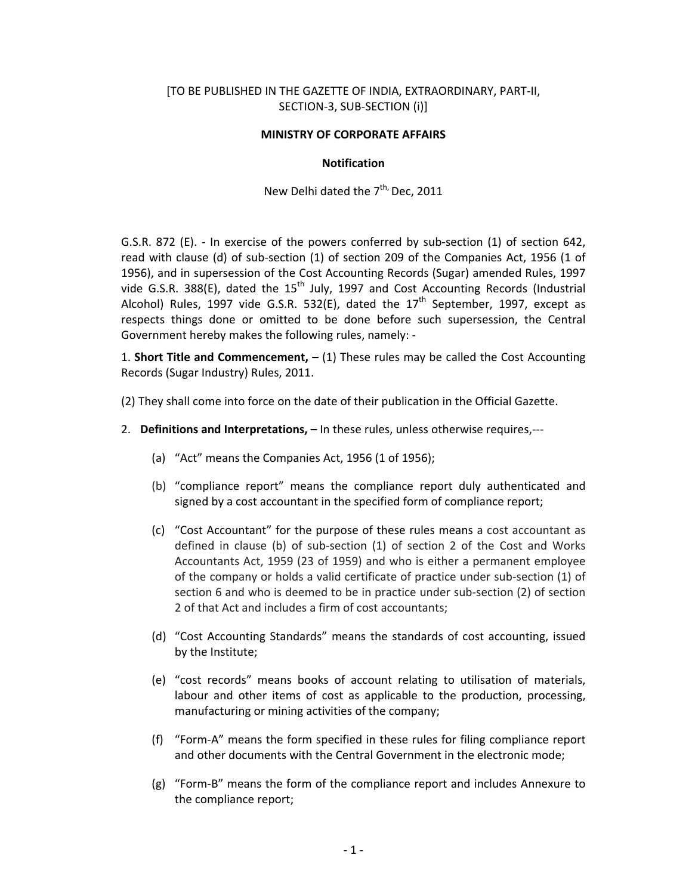## [TO BE PUBLISHED IN THE GAZETTE OF INDIA, EXTRAORDINARY, PART‐II, SECTION‐3, SUB‐SECTION (i)]

#### **MINISTRY OF CORPORATE AFFAIRS**

#### **Notification**

New Delhi dated the 7<sup>th,</sup> Dec, 2011

G.S.R. 872 (E). - In exercise of the powers conferred by sub-section (1) of section 642, read with clause (d) of sub‐section (1) of section 209 of the Companies Act, 1956 (1 of 1956), and in supersession of the Cost Accounting Records (Sugar) amended Rules, 1997 vide G.S.R. 388(E), dated the  $15<sup>th</sup>$  July, 1997 and Cost Accounting Records (Industrial Alcohol) Rules, 1997 vide G.S.R. 532(E), dated the  $17<sup>th</sup>$  September, 1997, except as respects things done or omitted to be done before such supersession, the Central Government hereby makes the following rules, namely: ‐

1. **Short Title and Commencement, –** (1) These rules may be called the Cost Accounting Records (Sugar Industry) Rules, 2011.

(2) They shall come into force on the date of their publication in the Official Gazette.

- 2. **Definitions and Interpretations, –** In these rules, unless otherwise requires,‐‐‐
	- (a) "Act" means the Companies Act, 1956 (1 of 1956);
	- (b) "compliance report" means the compliance report duly authenticated and signed by a cost accountant in the specified form of compliance report;
	- (c) "Cost Accountant" for the purpose of these rules means a cost accountant as defined in clause (b) of sub‐section (1) of section 2 of the Cost and Works Accountants Act, 1959 (23 of 1959) and who is either a permanent employee of the company or holds a valid certificate of practice under sub‐section (1) of section 6 and who is deemed to be in practice under sub‐section (2) of section 2 of that Act and includes a firm of cost accountants;
	- (d) "Cost Accounting Standards" means the standards of cost accounting, issued by the Institute;
	- (e) "cost records" means books of account relating to utilisation of materials, labour and other items of cost as applicable to the production, processing, manufacturing or mining activities of the company;
	- (f) "Form‐A" means the form specified in these rules for filing compliance report and other documents with the Central Government in the electronic mode;
	- (g) "Form‐B" means the form of the compliance report and includes Annexure to the compliance report;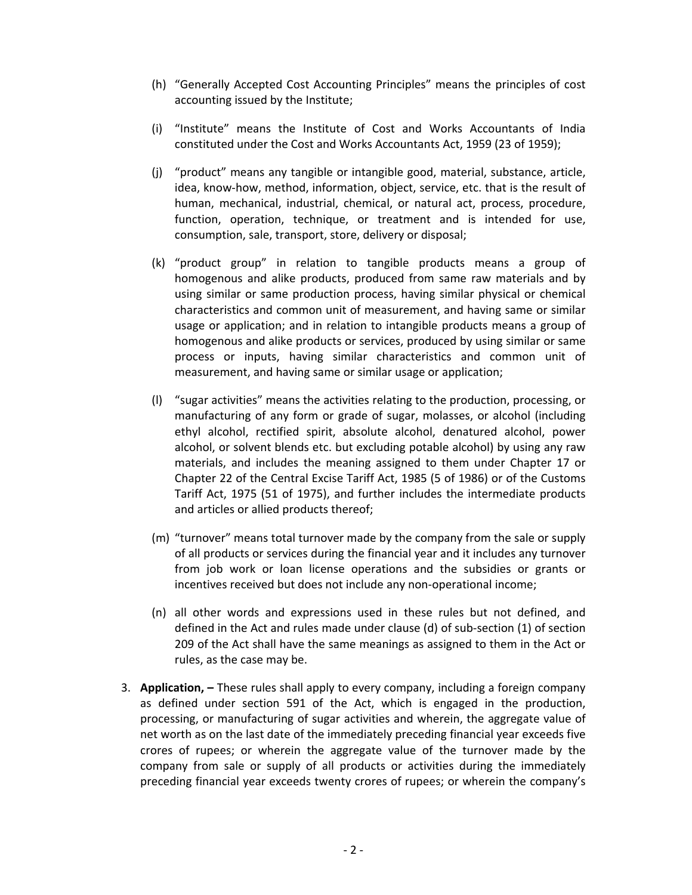- (h) "Generally Accepted Cost Accounting Principles" means the principles of cost accounting issued by the Institute;
- (i) "Institute" means the Institute of Cost and Works Accountants of India constituted under the Cost and Works Accountants Act, 1959 (23 of 1959);
- (j) "product" means any tangible or intangible good, material, substance, article, idea, know‐how, method, information, object, service, etc. that is the result of human, mechanical, industrial, chemical, or natural act, process, procedure, function, operation, technique, or treatment and is intended for use, consumption, sale, transport, store, delivery or disposal;
- (k) "product group" in relation to tangible products means a group of homogenous and alike products, produced from same raw materials and by using similar or same production process, having similar physical or chemical characteristics and common unit of measurement, and having same or similar usage or application; and in relation to intangible products means a group of homogenous and alike products or services, produced by using similar or same process or inputs, having similar characteristics and common unit of measurement, and having same or similar usage or application;
- (l) "sugar activities" means the activities relating to the production, processing, or manufacturing of any form or grade of sugar, molasses, or alcohol (including ethyl alcohol, rectified spirit, absolute alcohol, denatured alcohol, power alcohol, or solvent blends etc. but excluding potable alcohol) by using any raw materials, and includes the meaning assigned to them under Chapter 17 or Chapter 22 of the Central Excise Tariff Act, 1985 (5 of 1986) or of the Customs Tariff Act, 1975 (51 of 1975), and further includes the intermediate products and articles or allied products thereof;
- (m) "turnover" means total turnover made by the company from the sale or supply of all products or services during the financial year and it includes any turnover from job work or loan license operations and the subsidies or grants or incentives received but does not include any non‐operational income;
- (n) all other words and expressions used in these rules but not defined, and defined in the Act and rules made under clause (d) of sub‐section (1) of section 209 of the Act shall have the same meanings as assigned to them in the Act or rules, as the case may be.
- 3. **Application, –** These rules shall apply to every company, including a foreign company as defined under section 591 of the Act, which is engaged in the production, processing, or manufacturing of sugar activities and wherein, the aggregate value of net worth as on the last date of the immediately preceding financial year exceeds five crores of rupees; or wherein the aggregate value of the turnover made by the company from sale or supply of all products or activities during the immediately preceding financial year exceeds twenty crores of rupees; or wherein the company's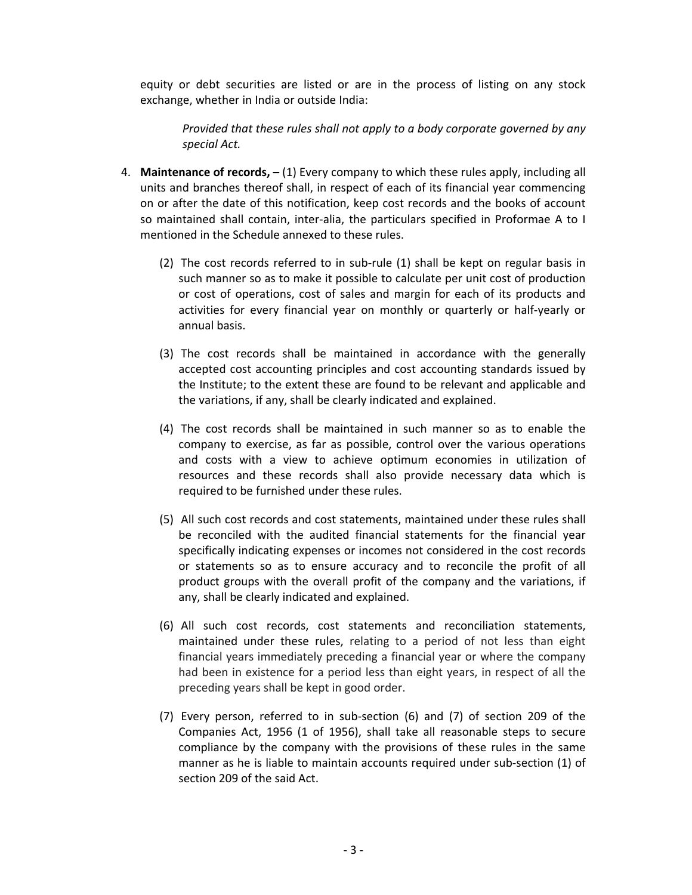equity or debt securities are listed or are in the process of listing on any stock exchange, whether in India or outside India:

*Provided that these rules shall not apply to a body corporate governed by any special Act.* 

- 4. **Maintenance of records, –** (1) Every company to which these rules apply, including all units and branches thereof shall, in respect of each of its financial year commencing on or after the date of this notification, keep cost records and the books of account so maintained shall contain, inter-alia, the particulars specified in Proformae A to I mentioned in the Schedule annexed to these rules.
	- (2) The cost records referred to in sub‐rule (1) shall be kept on regular basis in such manner so as to make it possible to calculate per unit cost of production or cost of operations, cost of sales and margin for each of its products and activities for every financial year on monthly or quarterly or half‐yearly or annual basis.
	- (3) The cost records shall be maintained in accordance with the generally accepted cost accounting principles and cost accounting standards issued by the Institute; to the extent these are found to be relevant and applicable and the variations, if any, shall be clearly indicated and explained.
	- (4) The cost records shall be maintained in such manner so as to enable the company to exercise, as far as possible, control over the various operations and costs with a view to achieve optimum economies in utilization of resources and these records shall also provide necessary data which is required to be furnished under these rules.
	- (5) All such cost records and cost statements, maintained under these rules shall be reconciled with the audited financial statements for the financial year specifically indicating expenses or incomes not considered in the cost records or statements so as to ensure accuracy and to reconcile the profit of all product groups with the overall profit of the company and the variations, if any, shall be clearly indicated and explained.
	- (6) All such cost records, cost statements and reconciliation statements, maintained under these rules, relating to a period of not less than eight financial years immediately preceding a financial year or where the company had been in existence for a period less than eight years, in respect of all the preceding years shall be kept in good order.
	- (7) Every person, referred to in sub‐section (6) and (7) of section 209 of the Companies Act, 1956 (1 of 1956), shall take all reasonable steps to secure compliance by the company with the provisions of these rules in the same manner as he is liable to maintain accounts required under sub-section (1) of section 209 of the said Act.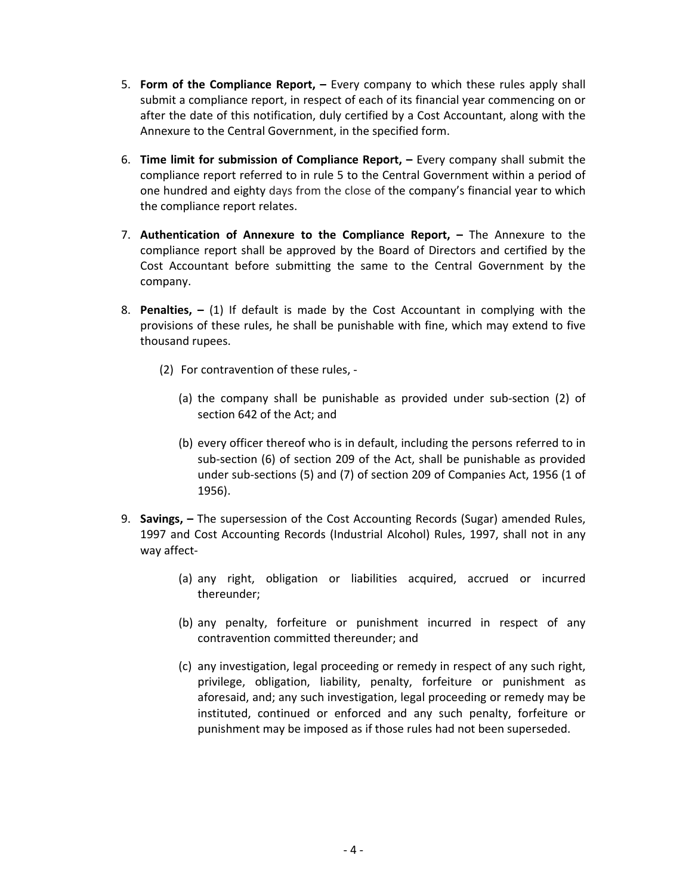- 5. **Form of the Compliance Report, –** Every company to which these rules apply shall submit a compliance report, in respect of each of its financial year commencing on or after the date of this notification, duly certified by a Cost Accountant, along with the Annexure to the Central Government, in the specified form.
- 6. **Time limit for submission of Compliance Report, –** Every company shall submit the compliance report referred to in rule 5 to the Central Government within a period of one hundred and eighty days from the close of the company's financial year to which the compliance report relates.
- 7. **Authentication of Annexure to the Compliance Report, –** The Annexure to the compliance report shall be approved by the Board of Directors and certified by the Cost Accountant before submitting the same to the Central Government by the company.
- 8. **Penalties, –** (1) If default is made by the Cost Accountant in complying with the provisions of these rules, he shall be punishable with fine, which may extend to five thousand rupees.
	- (2) For contravention of these rules, ‐
		- (a) the company shall be punishable as provided under sub‐section (2) of section 642 of the Act; and
		- (b) every officer thereof who is in default, including the persons referred to in sub‐section (6) of section 209 of the Act, shall be punishable as provided under sub‐sections (5) and (7) of section 209 of Companies Act, 1956 (1 of 1956).
- 9. **Savings, –** The supersession of the Cost Accounting Records (Sugar) amended Rules, 1997 and Cost Accounting Records (Industrial Alcohol) Rules, 1997, shall not in any way affect‐
	- (a) any right, obligation or liabilities acquired, accrued or incurred thereunder;
	- (b) any penalty, forfeiture or punishment incurred in respect of any contravention committed thereunder; and
	- (c) any investigation, legal proceeding or remedy in respect of any such right, privilege, obligation, liability, penalty, forfeiture or punishment as aforesaid, and; any such investigation, legal proceeding or remedy may be instituted, continued or enforced and any such penalty, forfeiture or punishment may be imposed as if those rules had not been superseded.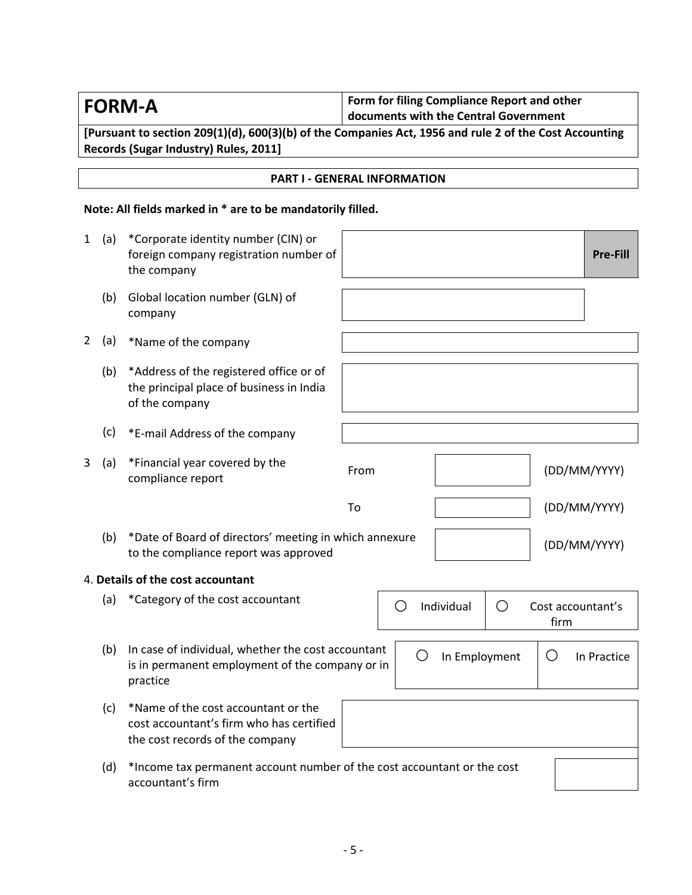| <b>FORM-A</b> | Form for filing Compliance Report and other<br>documents with the Central Government |
|---------------|--------------------------------------------------------------------------------------|
|               |                                                                                      |

**[Pursuant to section 209(1)(d), 600(3)(b) of the Companies Act, 1956 and rule 2 of the Cost Accounting Records (Sugar Industry) Rules, 2011]**

## **PART I ‐ GENERAL INFORMATION**

# **Note: All fields marked in \* are to be mandatorily filled.**

| 1              | (a) | *Corporate identity number (CIN) or<br>foreign company registration number of<br>the company                       |      |                 | <b>Pre-Fill</b>           |
|----------------|-----|--------------------------------------------------------------------------------------------------------------------|------|-----------------|---------------------------|
|                | (b) | Global location number (GLN) of<br>company                                                                         |      |                 |                           |
| $\overline{2}$ | (a) | *Name of the company                                                                                               |      |                 |                           |
|                | (b) | *Address of the registered office or of<br>the principal place of business in India<br>of the company              |      |                 |                           |
|                | (c) | *E-mail Address of the company                                                                                     |      |                 |                           |
| 3              | (a) | *Financial year covered by the<br>compliance report                                                                | From |                 | (DD/MM/YYYY)              |
|                |     |                                                                                                                    | To   |                 | (DD/MM/YYYY)              |
|                | (b) | *Date of Board of directors' meeting in which annexure<br>to the compliance report was approved                    |      |                 | (DD/MM/YYYY)              |
|                |     | 4. Details of the cost accountant                                                                                  |      |                 |                           |
|                | (a) | *Category of the cost accountant                                                                                   | O    | Individual<br>O | Cost accountant's<br>firm |
|                | (b) | In case of individual, whether the cost accountant<br>is in permanent employment of the company or in<br>practice  | ( )  | In Employment   | O<br>In Practice          |
|                | (c) | *Name of the cost accountant or the<br>cost accountant's firm who has certified<br>the cost records of the company |      |                 |                           |
|                | (d) | *Income tax permanent account number of the cost accountant or the cost<br>accountant's firm                       |      |                 |                           |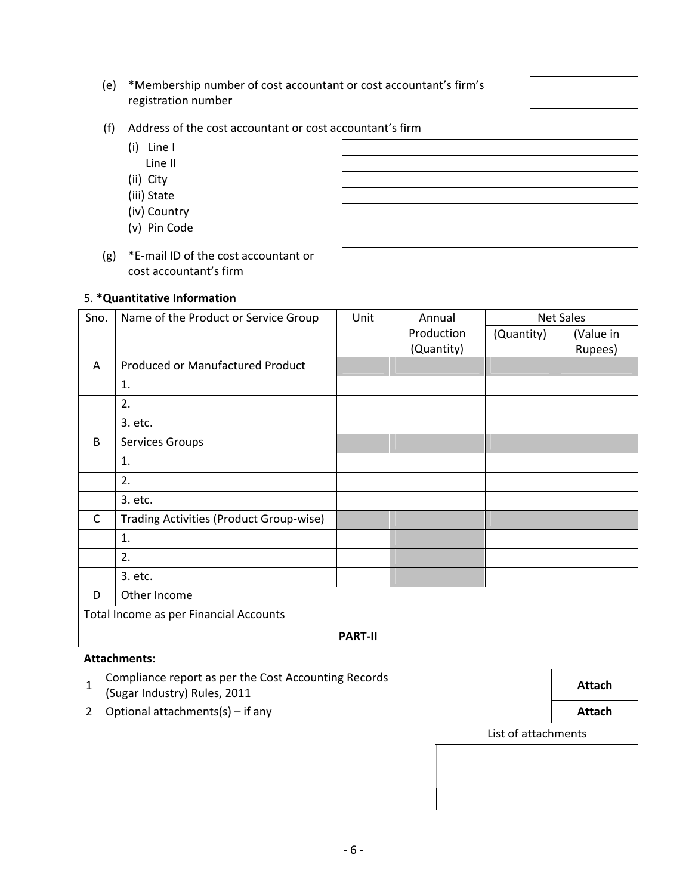‐ 6 ‐

registration number (f) Address of the cost accountant or cost accountant's firm

(e) \*Membership number of cost accountant or cost accountant's firm's

- (i) Line I
	-
	-
	- (iii) State
	- (iv) Country
	- (v) Pin Code
- (g) \*E‐mail ID of the cost accountant or cost accountant's firm

# 5. **\*Quantitative Information**

| Sno.              | Name of the Product or Service Group    | Unit | Annual     |            | <b>Net Sales</b> |  |  |  |
|-------------------|-----------------------------------------|------|------------|------------|------------------|--|--|--|
|                   |                                         |      | Production | (Quantity) | (Value in        |  |  |  |
|                   |                                         |      | (Quantity) |            | Rupees)          |  |  |  |
| A                 | Produced or Manufactured Product        |      |            |            |                  |  |  |  |
|                   | 1.                                      |      |            |            |                  |  |  |  |
|                   | 2.                                      |      |            |            |                  |  |  |  |
|                   | 3. etc.                                 |      |            |            |                  |  |  |  |
| B                 | Services Groups                         |      |            |            |                  |  |  |  |
|                   | 1.                                      |      |            |            |                  |  |  |  |
|                   | 2.                                      |      |            |            |                  |  |  |  |
|                   | 3. etc.                                 |      |            |            |                  |  |  |  |
| C                 | Trading Activities (Product Group-wise) |      |            |            |                  |  |  |  |
|                   | 1.                                      |      |            |            |                  |  |  |  |
|                   | 2.                                      |      |            |            |                  |  |  |  |
|                   | 3. etc.                                 |      |            |            |                  |  |  |  |
| Other Income<br>D |                                         |      |            |            |                  |  |  |  |
|                   | Total Income as per Financial Accounts  |      |            |            |                  |  |  |  |
|                   | <b>PART-II</b>                          |      |            |            |                  |  |  |  |

# **Attachments:**

- 1 Compliance report as per the Cost Accounting Records (Sugar Industry) Rules, <sup>2011</sup> **Attach**
- 2 Optional attachments(s) if any **Attach Attach Attach**

List of attachments

**Line II Line II Line II Line II Line II Line II Line II Line II Line II** (ii) City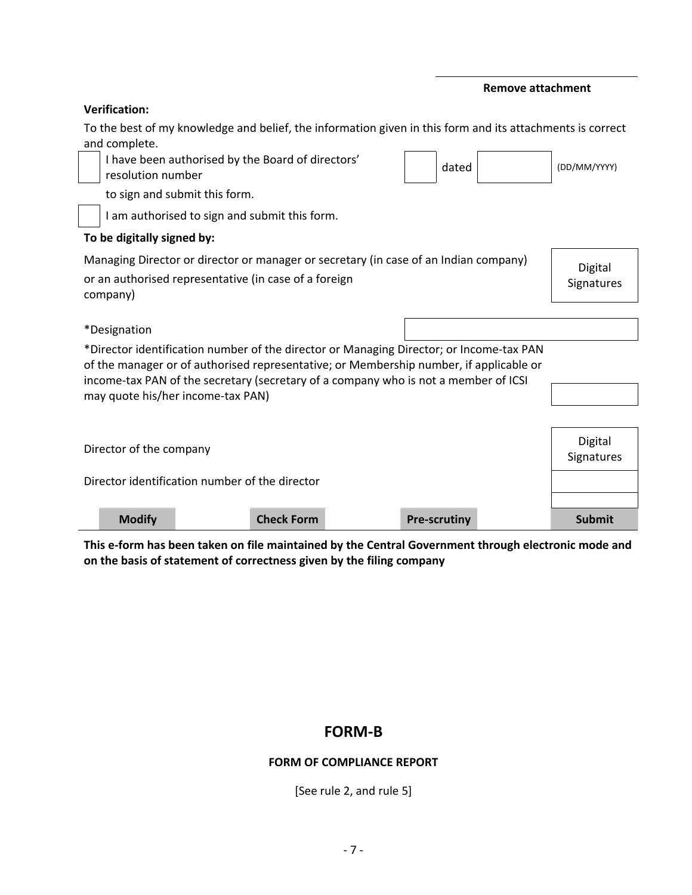|                                                | <b>Verification:</b>                                                                                      |                                                                                                                                                                               |                   |  |                     |         |              |
|------------------------------------------------|-----------------------------------------------------------------------------------------------------------|-------------------------------------------------------------------------------------------------------------------------------------------------------------------------------|-------------------|--|---------------------|---------|--------------|
|                                                | To the best of my knowledge and belief, the information given in this form and its attachments is correct |                                                                                                                                                                               |                   |  |                     |         |              |
|                                                | and complete.                                                                                             | I have been authorised by the Board of directors'                                                                                                                             |                   |  |                     |         |              |
|                                                | resolution number                                                                                         |                                                                                                                                                                               |                   |  | dated               |         | (DD/MM/YYYY) |
|                                                |                                                                                                           | to sign and submit this form.                                                                                                                                                 |                   |  |                     |         |              |
|                                                |                                                                                                           | I am authorised to sign and submit this form.                                                                                                                                 |                   |  |                     |         |              |
|                                                | To be digitally signed by:                                                                                |                                                                                                                                                                               |                   |  |                     |         |              |
|                                                |                                                                                                           | Managing Director or director or manager or secretary (in case of an Indian company)                                                                                          |                   |  |                     |         | Digital      |
|                                                |                                                                                                           | or an authorised representative (in case of a foreign                                                                                                                         |                   |  |                     |         | Signatures   |
|                                                | company)                                                                                                  |                                                                                                                                                                               |                   |  |                     |         |              |
|                                                | <i>*Designation</i>                                                                                       |                                                                                                                                                                               |                   |  |                     |         |              |
|                                                |                                                                                                           | *Director identification number of the director or Managing Director; or Income-tax PAN                                                                                       |                   |  |                     |         |              |
|                                                |                                                                                                           | of the manager or of authorised representative; or Membership number, if applicable or<br>income-tax PAN of the secretary (secretary of a company who is not a member of ICSI |                   |  |                     |         |              |
|                                                |                                                                                                           | may quote his/her income-tax PAN)                                                                                                                                             |                   |  |                     |         |              |
|                                                |                                                                                                           |                                                                                                                                                                               |                   |  |                     |         |              |
|                                                |                                                                                                           |                                                                                                                                                                               |                   |  |                     | Digital |              |
| Director of the company                        |                                                                                                           |                                                                                                                                                                               |                   |  | Signatures          |         |              |
| Director identification number of the director |                                                                                                           |                                                                                                                                                                               |                   |  |                     |         |              |
|                                                |                                                                                                           |                                                                                                                                                                               |                   |  |                     |         |              |
|                                                | <b>Modify</b>                                                                                             |                                                                                                                                                                               | <b>Check Form</b> |  | <b>Pre-scrutiny</b> |         | Submit       |

**Remove attachment**

This e-form has been taken on file maintained by the Central Government through electronic mode and **on the basis of statement of correctness given by the filing company**

# **FORM‐B**

# **FORM OF COMPLIANCE REPORT**

[See rule 2, and rule 5]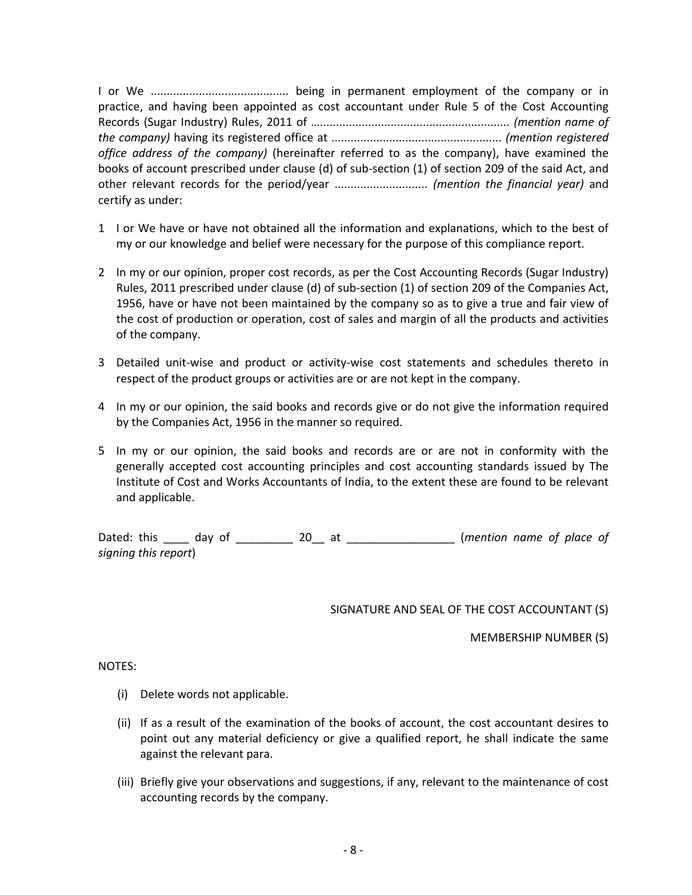I or We ........................................... being in permanent employment of the company or in practice, and having been appointed as cost accountant under Rule 5 of the Cost Accounting Records (Sugar Industry) Rules, 2011 of …........................................................... *(mention name of the company)* having its registered office at ..................................................... *(mention registered office address of the company)* (hereinafter referred to as the company), have examined the books of account prescribed under clause (d) of sub‐section (1) of section 209 of the said Act, and other relevant records for the period/year ............................. *(mention the financial year)* and certify as under:

- 1 I or We have or have not obtained all the information and explanations, which to the best of my or our knowledge and belief were necessary for the purpose of this compliance report.
- 2 In my or our opinion, proper cost records, as per the Cost Accounting Records (Sugar Industry) Rules, 2011 prescribed under clause (d) of sub‐section (1) of section 209 of the Companies Act, 1956, have or have not been maintained by the company so as to give a true and fair view of the cost of production or operation, cost of sales and margin of all the products and activities of the company.
- 3 Detailed unit‐wise and product or activity‐wise cost statements and schedules thereto in respect of the product groups or activities are or are not kept in the company.
- 4 In my or our opinion, the said books and records give or do not give the information required by the Companies Act, 1956 in the manner so required.
- 5 In my or our opinion, the said books and records are or are not in conformity with the generally accepted cost accounting principles and cost accounting standards issued by The Institute of Cost and Works Accountants of India, to the extent these are found to be relevant and applicable.

Dated: this \_\_\_\_ day of \_\_\_\_\_\_\_\_\_ 20\_\_ at \_\_\_\_\_\_\_\_\_\_\_\_\_\_\_\_\_ (*mention name of place of signing this report*)

### SIGNATURE AND SEAL OF THE COST ACCOUNTANT (S)

MEMBERSHIP NUMBER (S)

### NOTES:

- (i) Delete words not applicable.
- (ii) If as a result of the examination of the books of account, the cost accountant desires to point out any material deficiency or give a qualified report, he shall indicate the same against the relevant para.
- (iii) Briefly give your observations and suggestions, if any, relevant to the maintenance of cost accounting records by the company.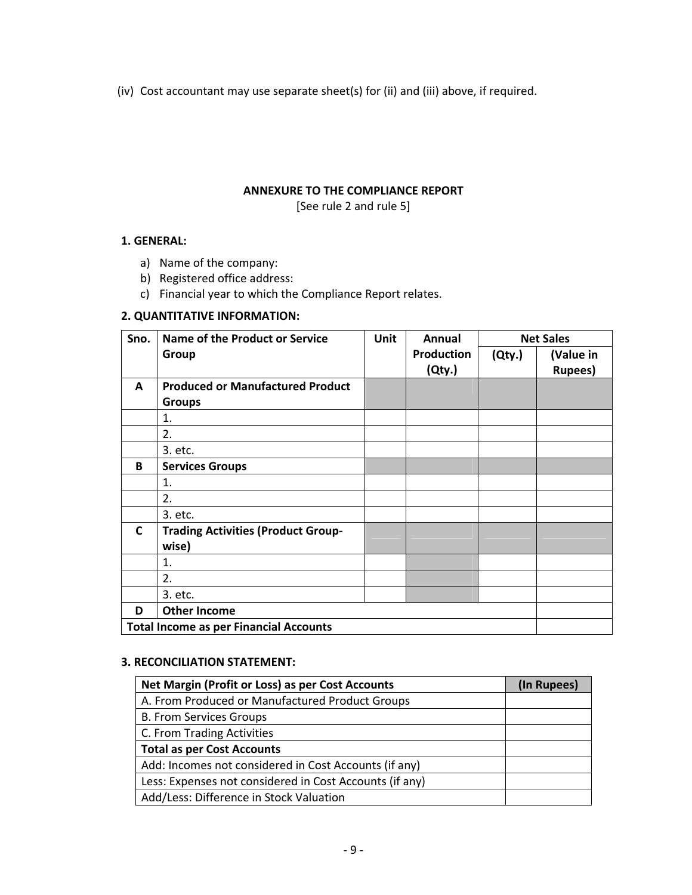(iv) Cost accountant may use separate sheet(s) for (ii) and (iii) above, if required.

## **ANNEXURE TO THE COMPLIANCE REPORT**

[See rule 2 and rule 5]

### **1. GENERAL:**

- a) Name of the company:
- b) Registered office address:
- c) Financial year to which the Compliance Report relates.

### **2. QUANTITATIVE INFORMATION:**

| Sno.         | <b>Name of the Product or Service</b>         | <b>Unit</b> | Annual            |        | <b>Net Sales</b> |
|--------------|-----------------------------------------------|-------------|-------------------|--------|------------------|
|              | Group                                         |             | <b>Production</b> | (Qty.) | (Value in        |
|              |                                               |             | (Qty.)            |        | <b>Rupees</b> )  |
| A            | <b>Produced or Manufactured Product</b>       |             |                   |        |                  |
|              | <b>Groups</b>                                 |             |                   |        |                  |
|              | 1.                                            |             |                   |        |                  |
|              | 2.                                            |             |                   |        |                  |
|              | 3. etc.                                       |             |                   |        |                  |
| B            | <b>Services Groups</b>                        |             |                   |        |                  |
|              | 1.                                            |             |                   |        |                  |
|              | 2.                                            |             |                   |        |                  |
|              | 3. etc.                                       |             |                   |        |                  |
| $\mathsf{C}$ | <b>Trading Activities (Product Group-</b>     |             |                   |        |                  |
|              | wise)                                         |             |                   |        |                  |
|              | 1.                                            |             |                   |        |                  |
|              | 2.                                            |             |                   |        |                  |
|              | 3. etc.                                       |             |                   |        |                  |
| D            | <b>Other Income</b>                           |             |                   |        |                  |
|              | <b>Total Income as per Financial Accounts</b> |             |                   |        |                  |

# **3. RECONCILIATION STATEMENT:**

| Net Margin (Profit or Loss) as per Cost Accounts        | (In Rupees) |
|---------------------------------------------------------|-------------|
| A. From Produced or Manufactured Product Groups         |             |
| <b>B. From Services Groups</b>                          |             |
| C. From Trading Activities                              |             |
| <b>Total as per Cost Accounts</b>                       |             |
| Add: Incomes not considered in Cost Accounts (if any)   |             |
| Less: Expenses not considered in Cost Accounts (if any) |             |
| Add/Less: Difference in Stock Valuation                 |             |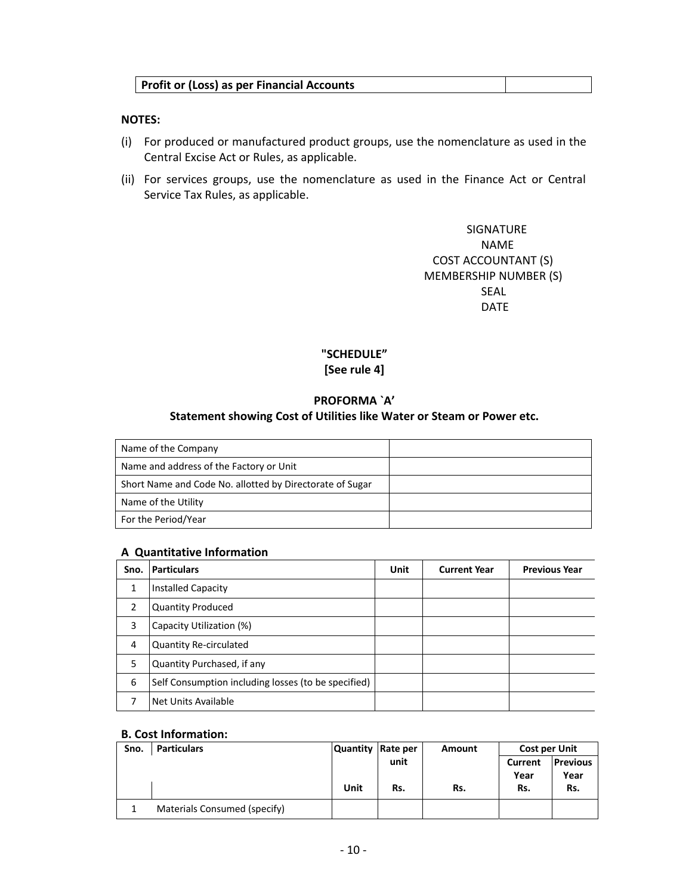## **Profit or (Loss) as per Financial Accounts**

### **NOTES:**

- (i) For produced or manufactured product groups, use the nomenclature as used in the Central Excise Act or Rules, as applicable.
- (ii) For services groups, use the nomenclature as used in the Finance Act or Central Service Tax Rules, as applicable.

 SIGNATURE NAME COST ACCOUNTANT (S) MEMBERSHIP NUMBER (S) SEAL AND SEAL AND SEAL AND SEAL AND SEAL AND SEAL AND SEAL AND SEAL AND SEAL AND SEAL AND SEAL AND SEAL AND SEAL AND SEAL AND SEAL AND SEAL AND SEAL AND SEAL AND SEAL AND SEAL AND SEAL AND SEAL AND SEAL AND SEAL AND SEAL A **DATE DATE** 

# **"SCHEDULE" [See rule 4]**

## **PROFORMA `A'**

### **Statement showing Cost of Utilities like Water or Steam or Power etc.**

| Name of the Company                                      |  |
|----------------------------------------------------------|--|
| Name and address of the Factory or Unit                  |  |
| Short Name and Code No. allotted by Directorate of Sugar |  |
| Name of the Utility                                      |  |
| For the Period/Year                                      |  |

### **A Quantitative Information**

| Sno. | <b>Particulars</b>                                  | Unit | <b>Current Year</b> | <b>Previous Year</b> |
|------|-----------------------------------------------------|------|---------------------|----------------------|
| 1    | <b>Installed Capacity</b>                           |      |                     |                      |
| 2    | <b>Quantity Produced</b>                            |      |                     |                      |
| 3    | Capacity Utilization (%)                            |      |                     |                      |
| 4    | <b>Quantity Re-circulated</b>                       |      |                     |                      |
| 5    | Quantity Purchased, if any                          |      |                     |                      |
| 6    | Self Consumption including losses (to be specified) |      |                     |                      |
| 7    | Net Units Available                                 |      |                     |                      |

### **B. Cost Information:**

| Sno. | <b>Particulars</b>           | <b>Quantity</b> | Rate per | Amount | <b>Cost per Unit</b> |                 |
|------|------------------------------|-----------------|----------|--------|----------------------|-----------------|
|      |                              |                 | unit     |        | Current              | <b>Previous</b> |
|      |                              |                 |          |        | Year                 | Year            |
|      |                              | Unit            | Rs.      | Rs.    | Rs.                  | Rs.             |
|      | Materials Consumed (specify) |                 |          |        |                      |                 |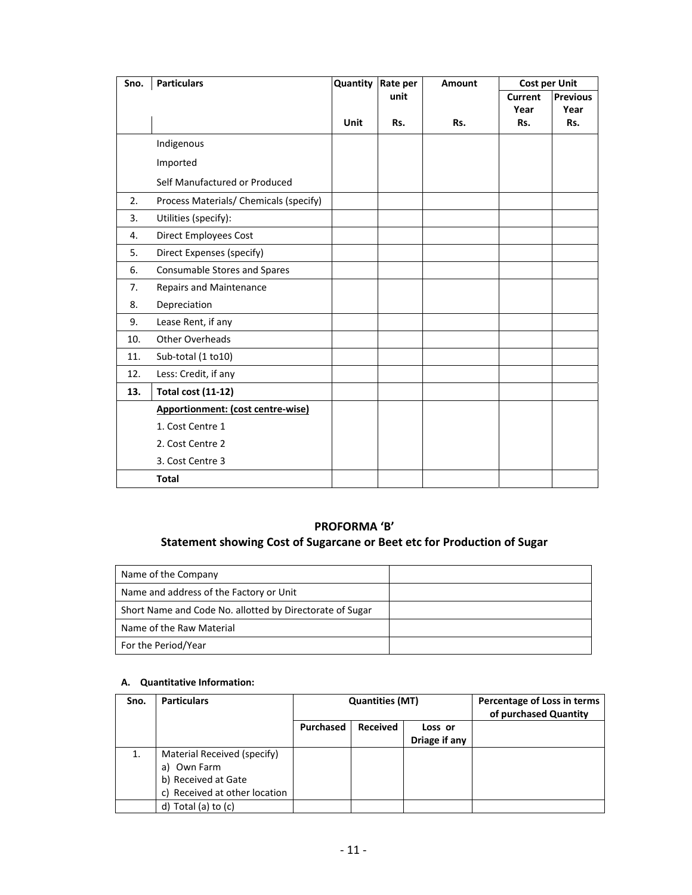| Sno. | <b>Particulars</b>                     | <b>Quantity Rate per</b> |      | Amount | <b>Cost per Unit</b> |                 |
|------|----------------------------------------|--------------------------|------|--------|----------------------|-----------------|
|      |                                        |                          | unit |        | <b>Current</b>       | <b>Previous</b> |
|      |                                        | <b>Unit</b>              | Rs.  | Rs.    | Year<br>Rs.          | Year<br>Rs.     |
|      |                                        |                          |      |        |                      |                 |
|      | Indigenous                             |                          |      |        |                      |                 |
|      | Imported                               |                          |      |        |                      |                 |
|      | Self Manufactured or Produced          |                          |      |        |                      |                 |
| 2.   | Process Materials/ Chemicals (specify) |                          |      |        |                      |                 |
| 3.   | Utilities (specify):                   |                          |      |        |                      |                 |
| 4.   | <b>Direct Employees Cost</b>           |                          |      |        |                      |                 |
| 5.   | Direct Expenses (specify)              |                          |      |        |                      |                 |
| 6.   | Consumable Stores and Spares           |                          |      |        |                      |                 |
| 7.   | Repairs and Maintenance                |                          |      |        |                      |                 |
| 8.   | Depreciation                           |                          |      |        |                      |                 |
| 9.   | Lease Rent, if any                     |                          |      |        |                      |                 |
| 10.  | Other Overheads                        |                          |      |        |                      |                 |
| 11.  | Sub-total (1 to10)                     |                          |      |        |                      |                 |
| 12.  | Less: Credit, if any                   |                          |      |        |                      |                 |
| 13.  | <b>Total cost (11-12)</b>              |                          |      |        |                      |                 |
|      | Apportionment: (cost centre-wise)      |                          |      |        |                      |                 |
|      | 1. Cost Centre 1                       |                          |      |        |                      |                 |
|      | 2. Cost Centre 2                       |                          |      |        |                      |                 |
|      | 3. Cost Centre 3                       |                          |      |        |                      |                 |
|      | <b>Total</b>                           |                          |      |        |                      |                 |

# **PROFORMA 'B'**

# **Statement showing Cost of Sugarcane or Beet etc for Production of Sugar**

| Name of the Company                                      |  |
|----------------------------------------------------------|--|
| Name and address of the Factory or Unit                  |  |
| Short Name and Code No. allotted by Directorate of Sugar |  |
| Name of the Raw Material                                 |  |
| For the Period/Year                                      |  |

## **A. Quantitative Information:**

| Sno. | <b>Particulars</b>                                                                                    | <b>Quantities (MT)</b> |                 |                          | Percentage of Loss in terms<br>of purchased Quantity |
|------|-------------------------------------------------------------------------------------------------------|------------------------|-----------------|--------------------------|------------------------------------------------------|
|      |                                                                                                       | Purchased              | <b>Received</b> | Loss or<br>Driage if any |                                                      |
| 1.   | Material Received (specify)<br>a) Own Farm<br>b) Received at Gate<br>Received at other location<br>c) |                        |                 |                          |                                                      |
|      | Total (a) to $(c)$<br>d)                                                                              |                        |                 |                          |                                                      |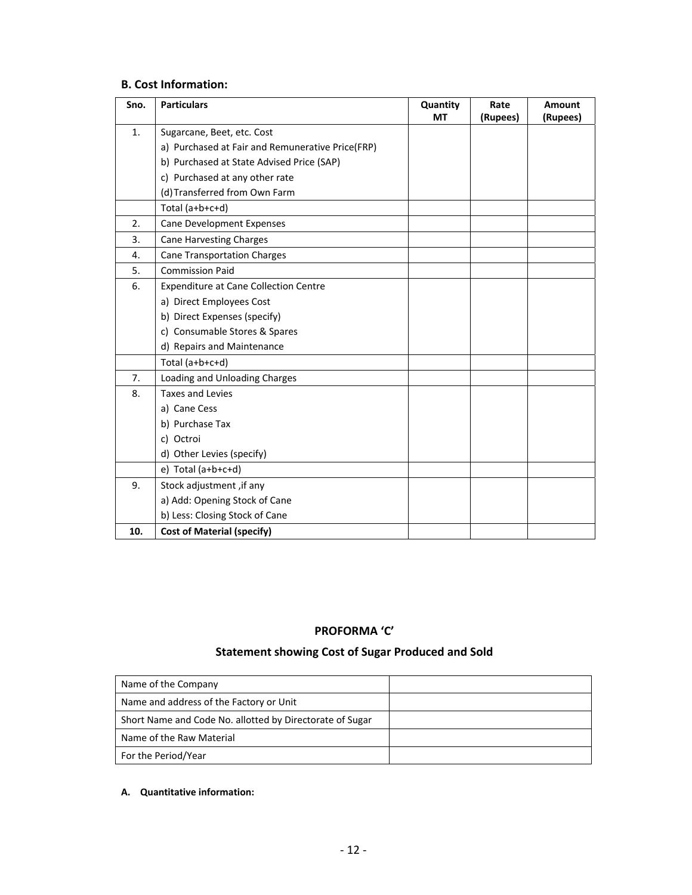## **B. Cost Information:**

| Sno. | <b>Particulars</b>                               | Quantity  | Rate     | Amount   |
|------|--------------------------------------------------|-----------|----------|----------|
|      |                                                  | <b>MT</b> | (Rupees) | (Rupees) |
| 1.   | Sugarcane, Beet, etc. Cost                       |           |          |          |
|      | a) Purchased at Fair and Remunerative Price(FRP) |           |          |          |
|      | b) Purchased at State Advised Price (SAP)        |           |          |          |
|      | c) Purchased at any other rate                   |           |          |          |
|      | (d) Transferred from Own Farm                    |           |          |          |
|      | Total (a+b+c+d)                                  |           |          |          |
| 2.   | <b>Cane Development Expenses</b>                 |           |          |          |
| 3.   | <b>Cane Harvesting Charges</b>                   |           |          |          |
| 4.   | <b>Cane Transportation Charges</b>               |           |          |          |
| 5.   | <b>Commission Paid</b>                           |           |          |          |
| 6.   | <b>Expenditure at Cane Collection Centre</b>     |           |          |          |
|      | a) Direct Employees Cost                         |           |          |          |
|      | b) Direct Expenses (specify)                     |           |          |          |
|      | c) Consumable Stores & Spares                    |           |          |          |
|      | d) Repairs and Maintenance                       |           |          |          |
|      | Total $(a+b+c+d)$                                |           |          |          |
| 7.   | Loading and Unloading Charges                    |           |          |          |
| 8.   | <b>Taxes and Levies</b>                          |           |          |          |
|      | a) Cane Cess                                     |           |          |          |
|      | b) Purchase Tax                                  |           |          |          |
|      | c) Octroi                                        |           |          |          |
|      | d) Other Levies (specify)                        |           |          |          |
|      | $e)$ Total (a+b+c+d)                             |           |          |          |
| 9.   | Stock adjustment, if any                         |           |          |          |
|      | a) Add: Opening Stock of Cane                    |           |          |          |
|      | b) Less: Closing Stock of Cane                   |           |          |          |
| 10.  | <b>Cost of Material (specify)</b>                |           |          |          |

# **PROFORMA 'C'**

# **Statement showing Cost of Sugar Produced and Sold**

| Name of the Company                                      |  |
|----------------------------------------------------------|--|
| Name and address of the Factory or Unit                  |  |
| Short Name and Code No. allotted by Directorate of Sugar |  |
| Name of the Raw Material                                 |  |
| For the Period/Year                                      |  |

#### **A. Quantitative information:**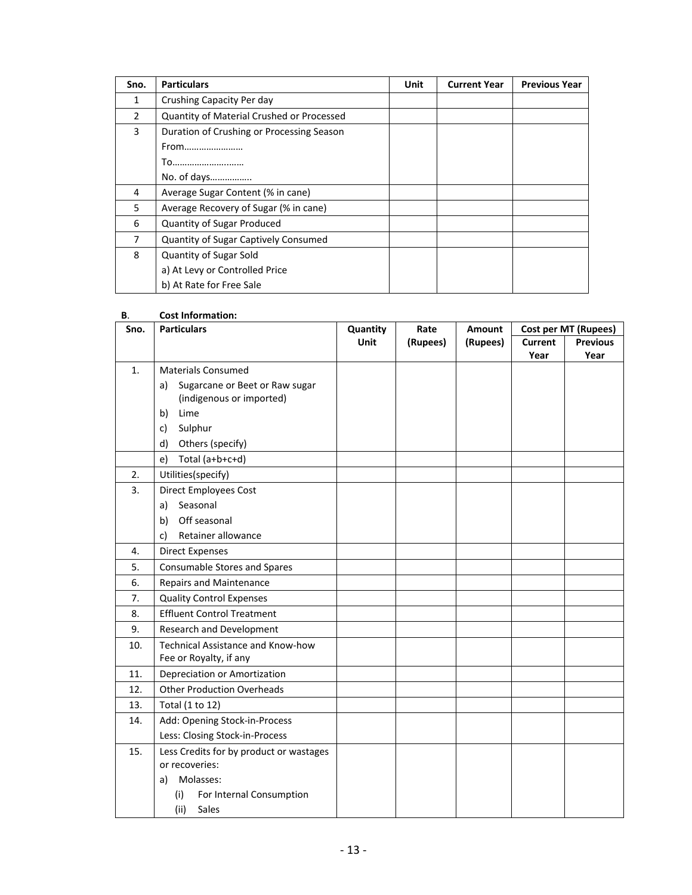| Sno.          | <b>Particulars</b>                          | Unit | <b>Current Year</b> | <b>Previous Year</b> |
|---------------|---------------------------------------------|------|---------------------|----------------------|
| 1             | Crushing Capacity Per day                   |      |                     |                      |
| $\mathcal{P}$ | Quantity of Material Crushed or Processed   |      |                     |                      |
| 3             | Duration of Crushing or Processing Season   |      |                     |                      |
|               | From                                        |      |                     |                      |
|               | To                                          |      |                     |                      |
|               | No. of days                                 |      |                     |                      |
| 4             | Average Sugar Content (% in cane)           |      |                     |                      |
| 5             | Average Recovery of Sugar (% in cane)       |      |                     |                      |
| 6             | Quantity of Sugar Produced                  |      |                     |                      |
| 7             | <b>Quantity of Sugar Captively Consumed</b> |      |                     |                      |
| 8             | <b>Quantity of Sugar Sold</b>               |      |                     |                      |
|               | a) At Levy or Controlled Price              |      |                     |                      |
|               | b) At Rate for Free Sale                    |      |                     |                      |

#### **B**. **Cost Information:**

| <b>Previous</b><br>Year |
|-------------------------|
|                         |
|                         |
|                         |
|                         |
|                         |
|                         |
|                         |
|                         |
|                         |
|                         |
|                         |
|                         |
|                         |
|                         |
|                         |
|                         |
|                         |
|                         |
|                         |
|                         |
|                         |
|                         |
|                         |
|                         |
|                         |
|                         |
|                         |
|                         |
|                         |
|                         |
|                         |
|                         |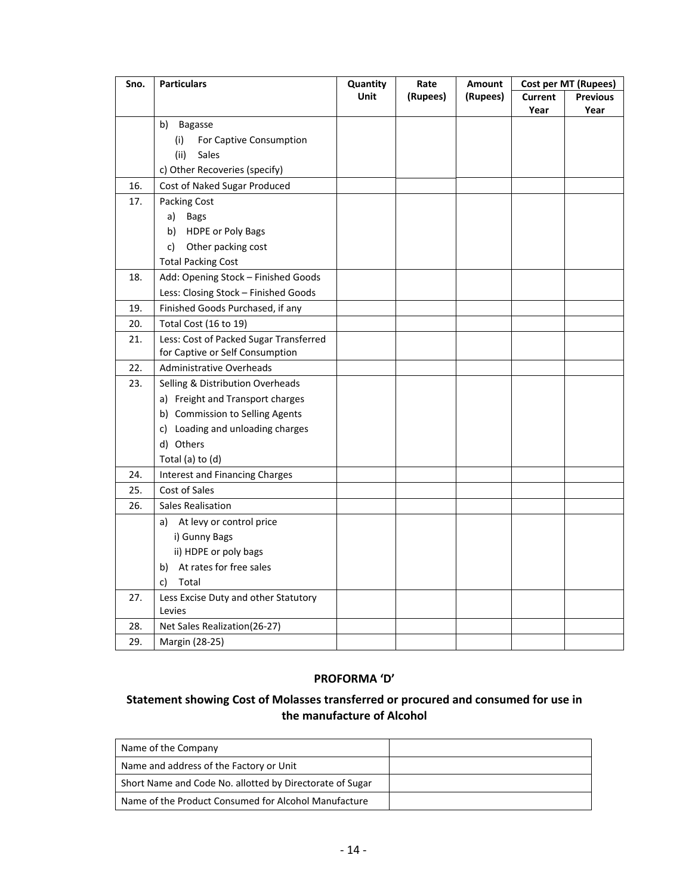| Sno. | <b>Particulars</b>                     | <b>Quantity</b> | Rate     | <b>Amount</b> |         | Cost per MT (Rupees) |
|------|----------------------------------------|-----------------|----------|---------------|---------|----------------------|
|      |                                        | <b>Unit</b>     | (Rupees) | (Rupees)      | Current | <b>Previous</b>      |
|      |                                        |                 |          |               | Year    | Year                 |
|      | b)<br><b>Bagasse</b>                   |                 |          |               |         |                      |
|      | (i)<br>For Captive Consumption         |                 |          |               |         |                      |
|      | (ii)<br>Sales                          |                 |          |               |         |                      |
|      | c) Other Recoveries (specify)          |                 |          |               |         |                      |
| 16.  | Cost of Naked Sugar Produced           |                 |          |               |         |                      |
| 17.  | Packing Cost                           |                 |          |               |         |                      |
|      | a)<br><b>Bags</b>                      |                 |          |               |         |                      |
|      | b)<br><b>HDPE or Poly Bags</b>         |                 |          |               |         |                      |
|      | Other packing cost<br>c)               |                 |          |               |         |                      |
|      | <b>Total Packing Cost</b>              |                 |          |               |         |                      |
| 18.  | Add: Opening Stock - Finished Goods    |                 |          |               |         |                      |
|      | Less: Closing Stock - Finished Goods   |                 |          |               |         |                      |
| 19.  | Finished Goods Purchased, if any       |                 |          |               |         |                      |
| 20.  | Total Cost (16 to 19)                  |                 |          |               |         |                      |
| 21.  | Less: Cost of Packed Sugar Transferred |                 |          |               |         |                      |
|      | for Captive or Self Consumption        |                 |          |               |         |                      |
| 22.  | <b>Administrative Overheads</b>        |                 |          |               |         |                      |
| 23.  | Selling & Distribution Overheads       |                 |          |               |         |                      |
|      | a) Freight and Transport charges       |                 |          |               |         |                      |
|      | b) Commission to Selling Agents        |                 |          |               |         |                      |
|      | c) Loading and unloading charges       |                 |          |               |         |                      |
|      | d) Others                              |                 |          |               |         |                      |
|      | Total (a) to (d)                       |                 |          |               |         |                      |
| 24.  | <b>Interest and Financing Charges</b>  |                 |          |               |         |                      |
| 25.  | Cost of Sales                          |                 |          |               |         |                      |
| 26.  | <b>Sales Realisation</b>               |                 |          |               |         |                      |
|      | At levy or control price<br>a)         |                 |          |               |         |                      |
|      | i) Gunny Bags                          |                 |          |               |         |                      |
|      | ii) HDPE or poly bags                  |                 |          |               |         |                      |
|      | At rates for free sales<br>b)          |                 |          |               |         |                      |
|      | Total<br>C)                            |                 |          |               |         |                      |
| 27.  | Less Excise Duty and other Statutory   |                 |          |               |         |                      |
|      | Levies                                 |                 |          |               |         |                      |
| 28.  | Net Sales Realization(26-27)           |                 |          |               |         |                      |
| 29.  | Margin (28-25)                         |                 |          |               |         |                      |

# **PROFORMA 'D'**

# **Statement showing Cost of Molasses transferred or procured and consumed for use in the manufacture of Alcohol**

| Name of the Company                                      |  |
|----------------------------------------------------------|--|
| Name and address of the Factory or Unit                  |  |
| Short Name and Code No. allotted by Directorate of Sugar |  |
| Name of the Product Consumed for Alcohol Manufacture     |  |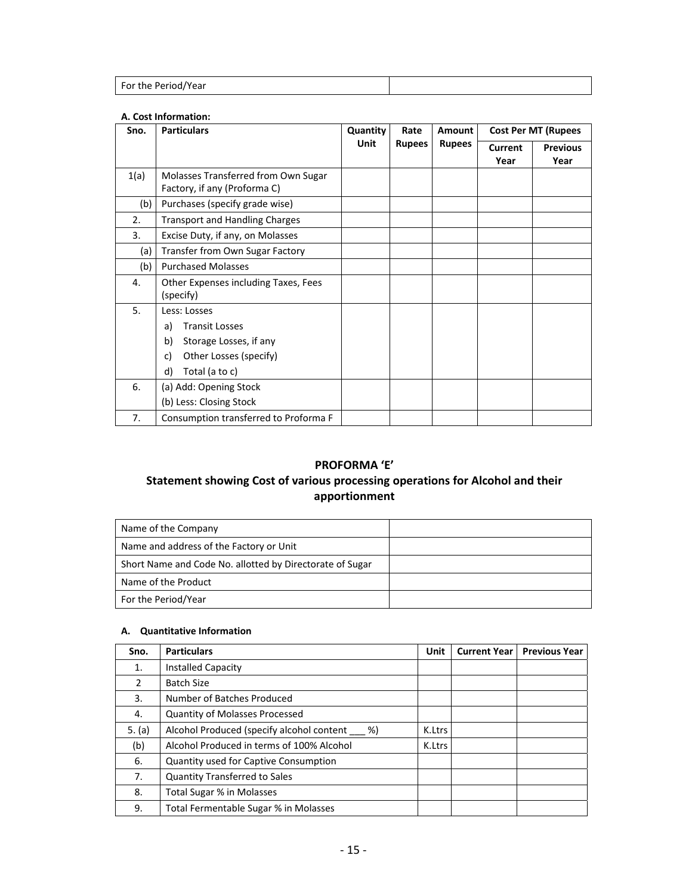| For the Period/Year |  |
|---------------------|--|

#### **A. Cost Information:**

| Sno. | <b>Particulars</b>                                                                                                                  | Quantity | Rate          | <b>Amount</b> |                 | <b>Cost Per MT (Rupees</b> |  |
|------|-------------------------------------------------------------------------------------------------------------------------------------|----------|---------------|---------------|-----------------|----------------------------|--|
|      |                                                                                                                                     | Unit     | <b>Rupees</b> | <b>Rupees</b> | Current<br>Year | <b>Previous</b><br>Year    |  |
| 1(a) | Molasses Transferred from Own Sugar<br>Factory, if any (Proforma C)                                                                 |          |               |               |                 |                            |  |
| (b)  | Purchases (specify grade wise)                                                                                                      |          |               |               |                 |                            |  |
| 2.   | <b>Transport and Handling Charges</b>                                                                                               |          |               |               |                 |                            |  |
| 3.   | Excise Duty, if any, on Molasses                                                                                                    |          |               |               |                 |                            |  |
| (a)  | Transfer from Own Sugar Factory                                                                                                     |          |               |               |                 |                            |  |
| (b)  | <b>Purchased Molasses</b>                                                                                                           |          |               |               |                 |                            |  |
| 4.   | Other Expenses including Taxes, Fees<br>(specify)                                                                                   |          |               |               |                 |                            |  |
| 5.   | Less: Losses<br><b>Transit Losses</b><br>a)<br>b)<br>Storage Losses, if any<br>Other Losses (specify)<br>c)<br>d)<br>Total (a to c) |          |               |               |                 |                            |  |
| 6.   | (a) Add: Opening Stock<br>(b) Less: Closing Stock                                                                                   |          |               |               |                 |                            |  |
| 7.   | Consumption transferred to Proforma F                                                                                               |          |               |               |                 |                            |  |

# **PROFORMA 'E'**

# **Statement showing Cost of various processing operations for Alcohol and their apportionment**

| Name of the Company                                      |  |
|----------------------------------------------------------|--|
| Name and address of the Factory or Unit                  |  |
| Short Name and Code No. allotted by Directorate of Sugar |  |
| Name of the Product                                      |  |
| For the Period/Year                                      |  |

# **A. Quantitative Information**

| Sno.     | <b>Particulars</b>                              | Unit   | <b>Current Year  </b> | <b>Previous Year</b> |
|----------|-------------------------------------------------|--------|-----------------------|----------------------|
| 1.       | <b>Installed Capacity</b>                       |        |                       |                      |
| 2        | <b>Batch Size</b>                               |        |                       |                      |
| 3.       | Number of Batches Produced                      |        |                       |                      |
| 4.       | <b>Quantity of Molasses Processed</b>           |        |                       |                      |
| 5. $(a)$ | Alcohol Produced (specify alcohol content<br>%) | K.Ltrs |                       |                      |
| (b)      | Alcohol Produced in terms of 100% Alcohol       | K.Ltrs |                       |                      |
| 6.       | <b>Quantity used for Captive Consumption</b>    |        |                       |                      |
| 7.       | <b>Quantity Transferred to Sales</b>            |        |                       |                      |
| 8.       | Total Sugar % in Molasses                       |        |                       |                      |
| 9.       | Total Fermentable Sugar % in Molasses           |        |                       |                      |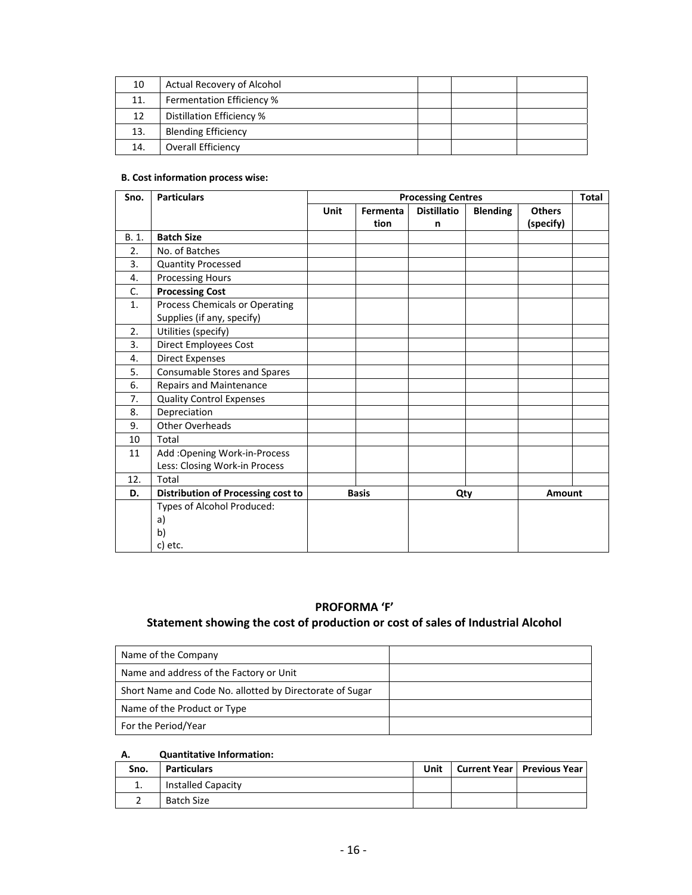| 10  | Actual Recovery of Alcohol |  |  |
|-----|----------------------------|--|--|
| 11. | Fermentation Efficiency %  |  |  |
| 12  | Distillation Efficiency %  |  |  |
| 13. | <b>Blending Efficiency</b> |  |  |
| 14. | <b>Overall Efficiency</b>  |  |  |

#### **B. Cost information process wise:**

| Sno.  | <b>Particulars</b>                 | <b>Processing Centres</b> |              |                    |                 |               | <b>Total</b> |
|-------|------------------------------------|---------------------------|--------------|--------------------|-----------------|---------------|--------------|
|       |                                    | <b>Unit</b>               | Fermenta     | <b>Distillatio</b> | <b>Blending</b> | <b>Others</b> |              |
|       |                                    |                           | tion         | n                  |                 | (specify)     |              |
| B. 1. | <b>Batch Size</b>                  |                           |              |                    |                 |               |              |
| 2.    | No. of Batches                     |                           |              |                    |                 |               |              |
| 3.    | <b>Quantity Processed</b>          |                           |              |                    |                 |               |              |
| 4.    | <b>Processing Hours</b>            |                           |              |                    |                 |               |              |
| C.    | <b>Processing Cost</b>             |                           |              |                    |                 |               |              |
| 1.    | Process Chemicals or Operating     |                           |              |                    |                 |               |              |
|       | Supplies (if any, specify)         |                           |              |                    |                 |               |              |
| 2.    | Utilities (specify)                |                           |              |                    |                 |               |              |
| 3.    | <b>Direct Employees Cost</b>       |                           |              |                    |                 |               |              |
| 4.    | <b>Direct Expenses</b>             |                           |              |                    |                 |               |              |
| 5.    | Consumable Stores and Spares       |                           |              |                    |                 |               |              |
| 6.    | <b>Repairs and Maintenance</b>     |                           |              |                    |                 |               |              |
| 7.    | <b>Quality Control Expenses</b>    |                           |              |                    |                 |               |              |
| 8.    | Depreciation                       |                           |              |                    |                 |               |              |
| 9.    | <b>Other Overheads</b>             |                           |              |                    |                 |               |              |
| 10    | Total                              |                           |              |                    |                 |               |              |
| 11    | Add: Opening Work-in-Process       |                           |              |                    |                 |               |              |
|       | Less: Closing Work-in Process      |                           |              |                    |                 |               |              |
| 12.   | Total                              |                           |              |                    |                 |               |              |
| D.    | Distribution of Processing cost to |                           | <b>Basis</b> | Qty                |                 | <b>Amount</b> |              |
|       | Types of Alcohol Produced:         |                           |              |                    |                 |               |              |
|       | a)                                 |                           |              |                    |                 |               |              |
|       | b)                                 |                           |              |                    |                 |               |              |
|       | c) etc.                            |                           |              |                    |                 |               |              |

# **PROFORMA 'F'**

# **Statement showing the cost of production or cost of sales of Industrial Alcohol**

| Name of the Company                                      |  |
|----------------------------------------------------------|--|
| Name and address of the Factory or Unit                  |  |
| Short Name and Code No. allotted by Directorate of Sugar |  |
| Name of the Product or Type                              |  |
| For the Period/Year                                      |  |

#### **A. Quantitative Information:**

| Sno. | Particulars               | Unit | Current Year   Previous Year |
|------|---------------------------|------|------------------------------|
| ᆠ.   | <b>Installed Capacity</b> |      |                              |
|      | <b>Batch Size</b>         |      |                              |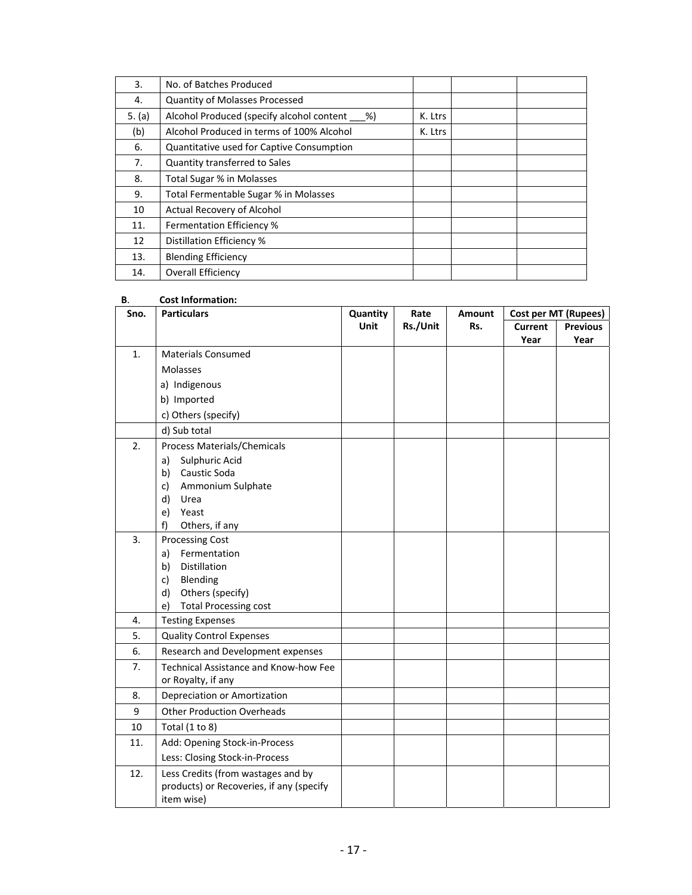| 3.     | No. of Batches Produced                      |         |  |
|--------|----------------------------------------------|---------|--|
| 4.     | <b>Quantity of Molasses Processed</b>        |         |  |
| 5. (a) | Alcohol Produced (specify alcohol content %) | K. Ltrs |  |
| (b)    | Alcohol Produced in terms of 100% Alcohol    | K. Ltrs |  |
| 6.     | Quantitative used for Captive Consumption    |         |  |
| 7.     | Quantity transferred to Sales                |         |  |
| 8.     | Total Sugar % in Molasses                    |         |  |
| 9.     | Total Fermentable Sugar % in Molasses        |         |  |
| 10     | Actual Recovery of Alcohol                   |         |  |
| 11.    | <b>Fermentation Efficiency %</b>             |         |  |
| 12     | Distillation Efficiency %                    |         |  |
| 13.    | <b>Blending Efficiency</b>                   |         |  |
| 14.    | <b>Overall Efficiency</b>                    |         |  |

| В.   | <b>Cost Information:</b>                                    |          |          |               |                |                      |
|------|-------------------------------------------------------------|----------|----------|---------------|----------------|----------------------|
| Sno. | <b>Particulars</b>                                          | Quantity | Rate     | <b>Amount</b> |                | Cost per MT (Rupees) |
|      |                                                             | Unit     | Rs./Unit | Rs.           | <b>Current</b> | <b>Previous</b>      |
|      |                                                             |          |          |               | Year           | Year                 |
| 1.   | <b>Materials Consumed</b>                                   |          |          |               |                |                      |
|      | Molasses                                                    |          |          |               |                |                      |
|      | a) Indigenous                                               |          |          |               |                |                      |
|      | b) Imported                                                 |          |          |               |                |                      |
|      | c) Others (specify)                                         |          |          |               |                |                      |
|      | d) Sub total                                                |          |          |               |                |                      |
| 2.   | Process Materials/Chemicals                                 |          |          |               |                |                      |
|      | Sulphuric Acid<br>a)                                        |          |          |               |                |                      |
|      | Caustic Soda<br>b)                                          |          |          |               |                |                      |
|      | Ammonium Sulphate<br>c)                                     |          |          |               |                |                      |
|      | d)<br>Urea                                                  |          |          |               |                |                      |
|      | Yeast<br>e)                                                 |          |          |               |                |                      |
|      | Others, if any<br>f)                                        |          |          |               |                |                      |
| 3.   | <b>Processing Cost</b>                                      |          |          |               |                |                      |
|      | Fermentation<br>a)                                          |          |          |               |                |                      |
|      | Distillation<br>b)                                          |          |          |               |                |                      |
|      | Blending<br>c)                                              |          |          |               |                |                      |
|      | Others (specify)<br>d)                                      |          |          |               |                |                      |
|      | e)<br><b>Total Processing cost</b>                          |          |          |               |                |                      |
| 4.   | <b>Testing Expenses</b>                                     |          |          |               |                |                      |
| 5.   | <b>Quality Control Expenses</b>                             |          |          |               |                |                      |
| 6.   | Research and Development expenses                           |          |          |               |                |                      |
| 7.   | Technical Assistance and Know-how Fee<br>or Royalty, if any |          |          |               |                |                      |
| 8.   | Depreciation or Amortization                                |          |          |               |                |                      |
|      |                                                             |          |          |               |                |                      |
| 9    | <b>Other Production Overheads</b>                           |          |          |               |                |                      |
| 10   | Total $(1 to 8)$                                            |          |          |               |                |                      |
| 11.  | Add: Opening Stock-in-Process                               |          |          |               |                |                      |
|      | Less: Closing Stock-in-Process                              |          |          |               |                |                      |
| 12.  | Less Credits (from wastages and by                          |          |          |               |                |                      |
|      | products) or Recoveries, if any (specify                    |          |          |               |                |                      |
|      | item wise)                                                  |          |          |               |                |                      |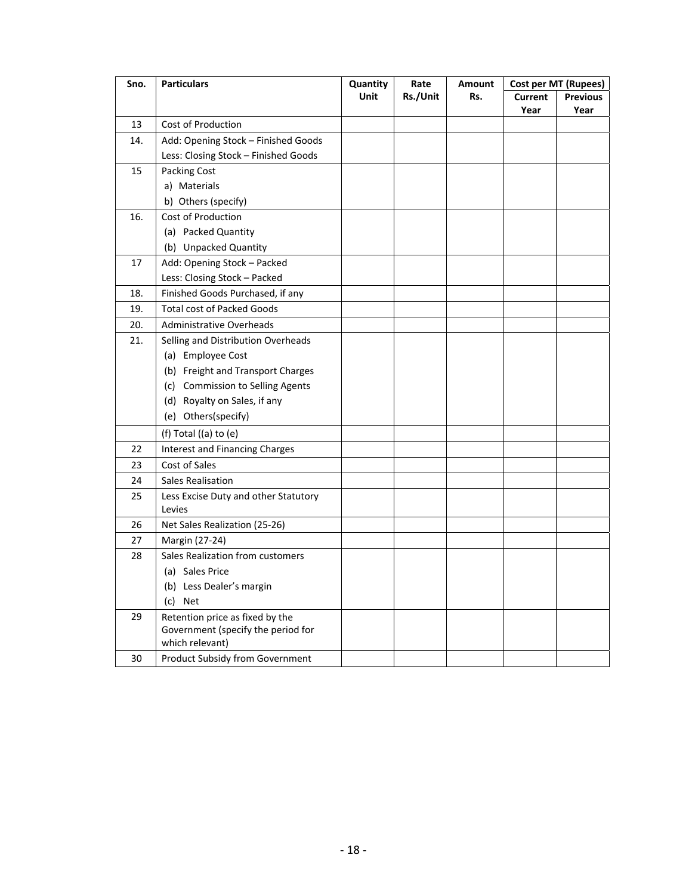| Sno. | <b>Particulars</b>                    | Quantity | Rate     | Amount |                | Cost per MT (Rupees) |
|------|---------------------------------------|----------|----------|--------|----------------|----------------------|
|      |                                       | Unit     | Rs./Unit | Rs.    | <b>Current</b> | <b>Previous</b>      |
|      |                                       |          |          |        | Year           | Year                 |
| 13   | <b>Cost of Production</b>             |          |          |        |                |                      |
| 14.  | Add: Opening Stock - Finished Goods   |          |          |        |                |                      |
|      | Less: Closing Stock - Finished Goods  |          |          |        |                |                      |
| 15   | Packing Cost                          |          |          |        |                |                      |
|      | a) Materials                          |          |          |        |                |                      |
|      | b) Others (specify)                   |          |          |        |                |                      |
| 16.  | <b>Cost of Production</b>             |          |          |        |                |                      |
|      | (a) Packed Quantity                   |          |          |        |                |                      |
|      | (b) Unpacked Quantity                 |          |          |        |                |                      |
| 17   | Add: Opening Stock - Packed           |          |          |        |                |                      |
|      | Less: Closing Stock - Packed          |          |          |        |                |                      |
| 18.  | Finished Goods Purchased, if any      |          |          |        |                |                      |
| 19.  | <b>Total cost of Packed Goods</b>     |          |          |        |                |                      |
| 20.  | <b>Administrative Overheads</b>       |          |          |        |                |                      |
| 21.  | Selling and Distribution Overheads    |          |          |        |                |                      |
|      | (a) Employee Cost                     |          |          |        |                |                      |
|      | (b) Freight and Transport Charges     |          |          |        |                |                      |
|      | (c) Commission to Selling Agents      |          |          |        |                |                      |
|      | (d) Royalty on Sales, if any          |          |          |        |                |                      |
|      | (e) Others(specify)                   |          |          |        |                |                      |
|      | (f) Total ((a) to (e)                 |          |          |        |                |                      |
| 22   | <b>Interest and Financing Charges</b> |          |          |        |                |                      |
| 23   | Cost of Sales                         |          |          |        |                |                      |
| 24   | Sales Realisation                     |          |          |        |                |                      |
| 25   | Less Excise Duty and other Statutory  |          |          |        |                |                      |
|      | Levies                                |          |          |        |                |                      |
| 26   | Net Sales Realization (25-26)         |          |          |        |                |                      |
| 27   | Margin (27-24)                        |          |          |        |                |                      |
| 28   | Sales Realization from customers      |          |          |        |                |                      |
|      | (a) Sales Price                       |          |          |        |                |                      |
|      | (b) Less Dealer's margin              |          |          |        |                |                      |
|      | (c) Net                               |          |          |        |                |                      |
| 29   | Retention price as fixed by the       |          |          |        |                |                      |
|      | Government (specify the period for    |          |          |        |                |                      |
|      | which relevant)                       |          |          |        |                |                      |
| 30   | Product Subsidy from Government       |          |          |        |                |                      |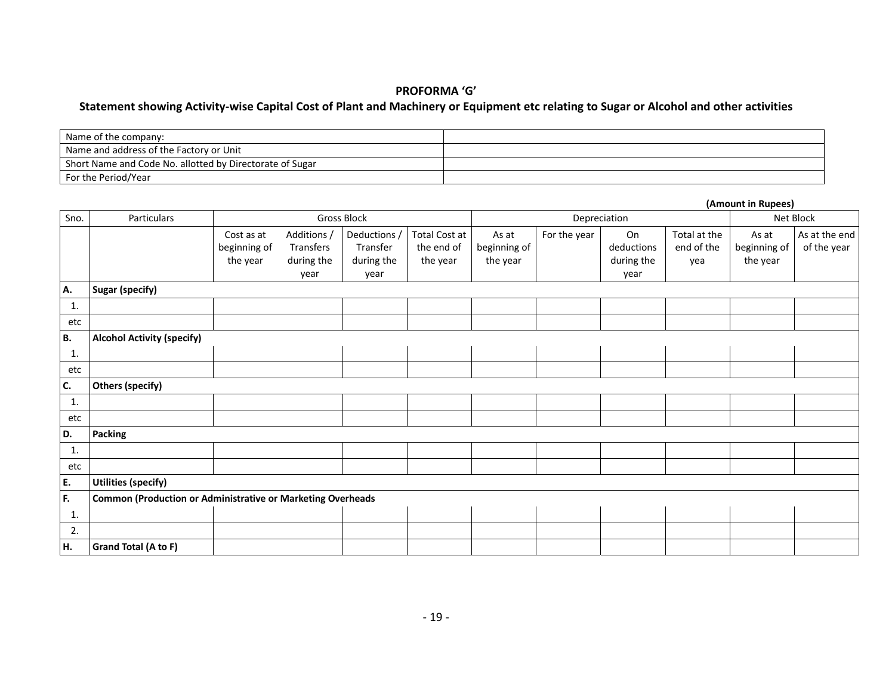#### **PROFORMA 'G'**

#### Statement showing Activity-wise Capital Cost of Plant and Machinery or Equipment etc relating to Sugar or Alcohol and other activities

| Name of the company:                                     |  |
|----------------------------------------------------------|--|
| Name and address of the Factory or Unit                  |  |
| Short Name and Code No. allotted by Directorate of Sugar |  |
| For the Period/Year                                      |  |

|                |                                                                    |                                        |                                                |                                                |                                         |                                   |              |                                        |                                   | (Amount in Rupees)                |                              |
|----------------|--------------------------------------------------------------------|----------------------------------------|------------------------------------------------|------------------------------------------------|-----------------------------------------|-----------------------------------|--------------|----------------------------------------|-----------------------------------|-----------------------------------|------------------------------|
| Sno.           | Particulars                                                        |                                        |                                                | <b>Gross Block</b>                             |                                         |                                   | Depreciation |                                        | Net Block                         |                                   |                              |
|                |                                                                    | Cost as at<br>beginning of<br>the year | Additions /<br>Transfers<br>during the<br>year | Deductions /<br>Transfer<br>during the<br>year | Total Cost at<br>the end of<br>the year | As at<br>beginning of<br>the year | For the year | On<br>deductions<br>during the<br>year | Total at the<br>end of the<br>yea | As at<br>beginning of<br>the year | As at the end<br>of the year |
| А.             | <b>Sugar (specify)</b>                                             |                                        |                                                |                                                |                                         |                                   |              |                                        |                                   |                                   |                              |
| 1.             |                                                                    |                                        |                                                |                                                |                                         |                                   |              |                                        |                                   |                                   |                              |
| etc            |                                                                    |                                        |                                                |                                                |                                         |                                   |              |                                        |                                   |                                   |                              |
| <b>B.</b>      | <b>Alcohol Activity (specify)</b>                                  |                                        |                                                |                                                |                                         |                                   |              |                                        |                                   |                                   |                              |
| 1.             |                                                                    |                                        |                                                |                                                |                                         |                                   |              |                                        |                                   |                                   |                              |
| etc            |                                                                    |                                        |                                                |                                                |                                         |                                   |              |                                        |                                   |                                   |                              |
| C.             | <b>Others (specify)</b>                                            |                                        |                                                |                                                |                                         |                                   |              |                                        |                                   |                                   |                              |
| 1.             |                                                                    |                                        |                                                |                                                |                                         |                                   |              |                                        |                                   |                                   |                              |
| etc            |                                                                    |                                        |                                                |                                                |                                         |                                   |              |                                        |                                   |                                   |                              |
| D.             | Packing                                                            |                                        |                                                |                                                |                                         |                                   |              |                                        |                                   |                                   |                              |
| $\mathbf{1}$ . |                                                                    |                                        |                                                |                                                |                                         |                                   |              |                                        |                                   |                                   |                              |
| etc            |                                                                    |                                        |                                                |                                                |                                         |                                   |              |                                        |                                   |                                   |                              |
| E.             | <b>Utilities (specify)</b>                                         |                                        |                                                |                                                |                                         |                                   |              |                                        |                                   |                                   |                              |
| F.             | <b>Common (Production or Administrative or Marketing Overheads</b> |                                        |                                                |                                                |                                         |                                   |              |                                        |                                   |                                   |                              |
| 1.             |                                                                    |                                        |                                                |                                                |                                         |                                   |              |                                        |                                   |                                   |                              |
| 2.             |                                                                    |                                        |                                                |                                                |                                         |                                   |              |                                        |                                   |                                   |                              |
| H.             | Grand Total (A to F)                                               |                                        |                                                |                                                |                                         |                                   |              |                                        |                                   |                                   |                              |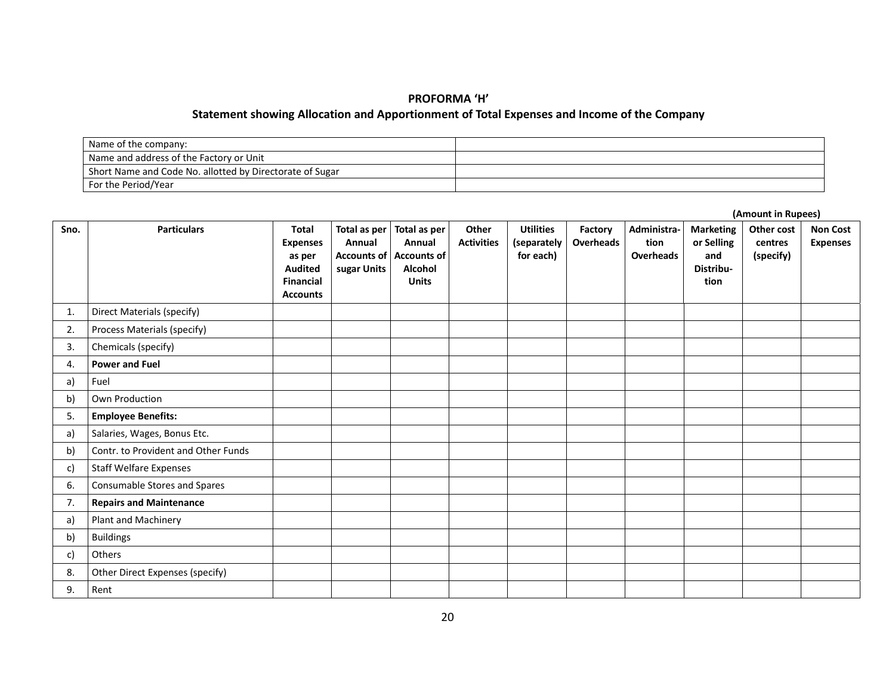#### **PROFORMA 'H'**

#### **Statement showing Allocation and Apportionment of Total Expenses and Income of the Company**

| Name of the company:                                     |  |
|----------------------------------------------------------|--|
| Name and address of the Factory or Unit                  |  |
| Short Name and Code No. allotted by Directorate of Sugar |  |
| For the Period/Year                                      |  |

| Sno. | <b>Particulars</b>                  | <b>Total</b><br><b>Expenses</b><br>as per<br><b>Audited</b><br><b>Financial</b><br><b>Accounts</b> | Total as per<br>Annual<br>sugar Units | Total as per<br>Annual<br>Accounts of Accounts of<br><b>Alcohol</b><br><b>Units</b> | Other<br><b>Activities</b> | <b>Utilities</b><br>(separately<br>for each) | Factory<br><b>Overheads</b> | Administra-<br>tion<br>Overheads | <b>Marketing</b><br>or Selling<br>and<br>Distribu-<br>tion | Other cost<br>centres<br>(specify) | <b>Non Cost</b><br><b>Expenses</b> |
|------|-------------------------------------|----------------------------------------------------------------------------------------------------|---------------------------------------|-------------------------------------------------------------------------------------|----------------------------|----------------------------------------------|-----------------------------|----------------------------------|------------------------------------------------------------|------------------------------------|------------------------------------|
| 1.   | <b>Direct Materials (specify)</b>   |                                                                                                    |                                       |                                                                                     |                            |                                              |                             |                                  |                                                            |                                    |                                    |
| 2.   | Process Materials (specify)         |                                                                                                    |                                       |                                                                                     |                            |                                              |                             |                                  |                                                            |                                    |                                    |
| 3.   | Chemicals (specify)                 |                                                                                                    |                                       |                                                                                     |                            |                                              |                             |                                  |                                                            |                                    |                                    |
| 4.   | <b>Power and Fuel</b>               |                                                                                                    |                                       |                                                                                     |                            |                                              |                             |                                  |                                                            |                                    |                                    |
| a)   | Fuel                                |                                                                                                    |                                       |                                                                                     |                            |                                              |                             |                                  |                                                            |                                    |                                    |
| b)   | Own Production                      |                                                                                                    |                                       |                                                                                     |                            |                                              |                             |                                  |                                                            |                                    |                                    |
| 5.   | <b>Employee Benefits:</b>           |                                                                                                    |                                       |                                                                                     |                            |                                              |                             |                                  |                                                            |                                    |                                    |
| a)   | Salaries, Wages, Bonus Etc.         |                                                                                                    |                                       |                                                                                     |                            |                                              |                             |                                  |                                                            |                                    |                                    |
| b)   | Contr. to Provident and Other Funds |                                                                                                    |                                       |                                                                                     |                            |                                              |                             |                                  |                                                            |                                    |                                    |
| c)   | <b>Staff Welfare Expenses</b>       |                                                                                                    |                                       |                                                                                     |                            |                                              |                             |                                  |                                                            |                                    |                                    |
| 6.   | Consumable Stores and Spares        |                                                                                                    |                                       |                                                                                     |                            |                                              |                             |                                  |                                                            |                                    |                                    |
| 7.   | <b>Repairs and Maintenance</b>      |                                                                                                    |                                       |                                                                                     |                            |                                              |                             |                                  |                                                            |                                    |                                    |
| a)   | Plant and Machinery                 |                                                                                                    |                                       |                                                                                     |                            |                                              |                             |                                  |                                                            |                                    |                                    |
| b)   | <b>Buildings</b>                    |                                                                                                    |                                       |                                                                                     |                            |                                              |                             |                                  |                                                            |                                    |                                    |
| c)   | Others                              |                                                                                                    |                                       |                                                                                     |                            |                                              |                             |                                  |                                                            |                                    |                                    |
| 8.   | Other Direct Expenses (specify)     |                                                                                                    |                                       |                                                                                     |                            |                                              |                             |                                  |                                                            |                                    |                                    |
| 9.   | Rent                                |                                                                                                    |                                       |                                                                                     |                            |                                              |                             |                                  |                                                            |                                    |                                    |

**(Amount in Rupees)**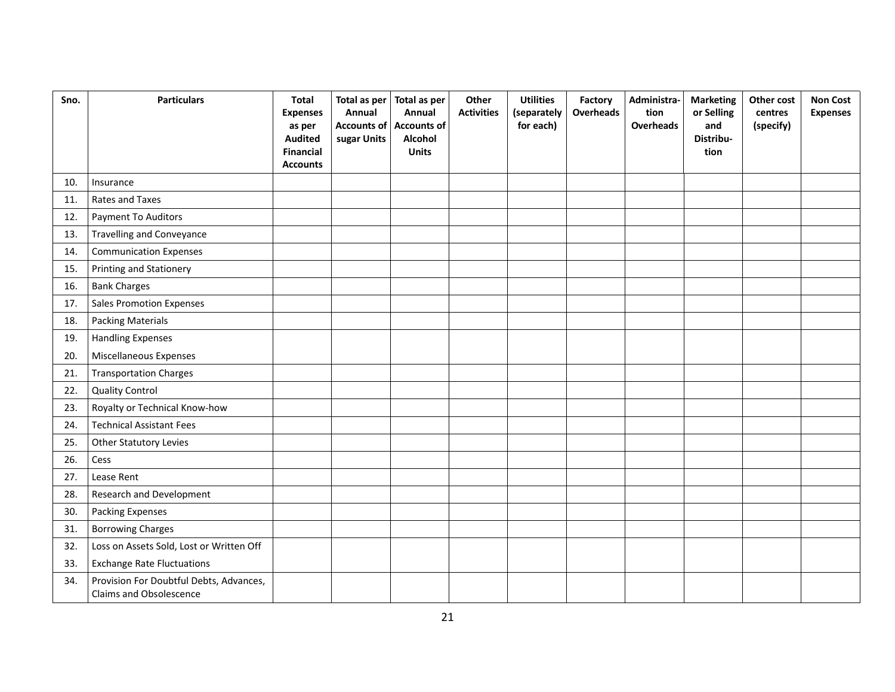| Sno. | <b>Particulars</b>                                                        | <b>Total</b><br><b>Expenses</b><br>as per<br><b>Audited</b><br><b>Financial</b><br><b>Accounts</b> | Total as per<br>Annual<br>sugar Units | Total as per<br>Annual<br><b>Accounts of Accounts of</b><br>Alcohol<br><b>Units</b> | Other<br><b>Activities</b> | <b>Utilities</b><br>(separately<br>for each) | Factory<br><b>Overheads</b> | Administra-<br>tion<br><b>Overheads</b> | <b>Marketing</b><br>or Selling<br>and<br>Distribu-<br>tion | Other cost<br>centres<br>(specify) | <b>Non Cost</b><br><b>Expenses</b> |
|------|---------------------------------------------------------------------------|----------------------------------------------------------------------------------------------------|---------------------------------------|-------------------------------------------------------------------------------------|----------------------------|----------------------------------------------|-----------------------------|-----------------------------------------|------------------------------------------------------------|------------------------------------|------------------------------------|
| 10.  | Insurance                                                                 |                                                                                                    |                                       |                                                                                     |                            |                                              |                             |                                         |                                                            |                                    |                                    |
| 11.  | Rates and Taxes                                                           |                                                                                                    |                                       |                                                                                     |                            |                                              |                             |                                         |                                                            |                                    |                                    |
| 12.  | Payment To Auditors                                                       |                                                                                                    |                                       |                                                                                     |                            |                                              |                             |                                         |                                                            |                                    |                                    |
| 13.  | <b>Travelling and Conveyance</b>                                          |                                                                                                    |                                       |                                                                                     |                            |                                              |                             |                                         |                                                            |                                    |                                    |
| 14.  | <b>Communication Expenses</b>                                             |                                                                                                    |                                       |                                                                                     |                            |                                              |                             |                                         |                                                            |                                    |                                    |
| 15.  | Printing and Stationery                                                   |                                                                                                    |                                       |                                                                                     |                            |                                              |                             |                                         |                                                            |                                    |                                    |
| 16.  | <b>Bank Charges</b>                                                       |                                                                                                    |                                       |                                                                                     |                            |                                              |                             |                                         |                                                            |                                    |                                    |
| 17.  | <b>Sales Promotion Expenses</b>                                           |                                                                                                    |                                       |                                                                                     |                            |                                              |                             |                                         |                                                            |                                    |                                    |
| 18.  | <b>Packing Materials</b>                                                  |                                                                                                    |                                       |                                                                                     |                            |                                              |                             |                                         |                                                            |                                    |                                    |
| 19.  | <b>Handling Expenses</b>                                                  |                                                                                                    |                                       |                                                                                     |                            |                                              |                             |                                         |                                                            |                                    |                                    |
| 20.  | Miscellaneous Expenses                                                    |                                                                                                    |                                       |                                                                                     |                            |                                              |                             |                                         |                                                            |                                    |                                    |
| 21.  | <b>Transportation Charges</b>                                             |                                                                                                    |                                       |                                                                                     |                            |                                              |                             |                                         |                                                            |                                    |                                    |
| 22.  | <b>Quality Control</b>                                                    |                                                                                                    |                                       |                                                                                     |                            |                                              |                             |                                         |                                                            |                                    |                                    |
| 23.  | Royalty or Technical Know-how                                             |                                                                                                    |                                       |                                                                                     |                            |                                              |                             |                                         |                                                            |                                    |                                    |
| 24.  | <b>Technical Assistant Fees</b>                                           |                                                                                                    |                                       |                                                                                     |                            |                                              |                             |                                         |                                                            |                                    |                                    |
| 25.  | <b>Other Statutory Levies</b>                                             |                                                                                                    |                                       |                                                                                     |                            |                                              |                             |                                         |                                                            |                                    |                                    |
| 26.  | Cess                                                                      |                                                                                                    |                                       |                                                                                     |                            |                                              |                             |                                         |                                                            |                                    |                                    |
| 27.  | Lease Rent                                                                |                                                                                                    |                                       |                                                                                     |                            |                                              |                             |                                         |                                                            |                                    |                                    |
| 28.  | Research and Development                                                  |                                                                                                    |                                       |                                                                                     |                            |                                              |                             |                                         |                                                            |                                    |                                    |
| 30.  | <b>Packing Expenses</b>                                                   |                                                                                                    |                                       |                                                                                     |                            |                                              |                             |                                         |                                                            |                                    |                                    |
| 31.  | <b>Borrowing Charges</b>                                                  |                                                                                                    |                                       |                                                                                     |                            |                                              |                             |                                         |                                                            |                                    |                                    |
| 32.  | Loss on Assets Sold, Lost or Written Off                                  |                                                                                                    |                                       |                                                                                     |                            |                                              |                             |                                         |                                                            |                                    |                                    |
| 33.  | <b>Exchange Rate Fluctuations</b>                                         |                                                                                                    |                                       |                                                                                     |                            |                                              |                             |                                         |                                                            |                                    |                                    |
| 34.  | Provision For Doubtful Debts, Advances,<br><b>Claims and Obsolescence</b> |                                                                                                    |                                       |                                                                                     |                            |                                              |                             |                                         |                                                            |                                    |                                    |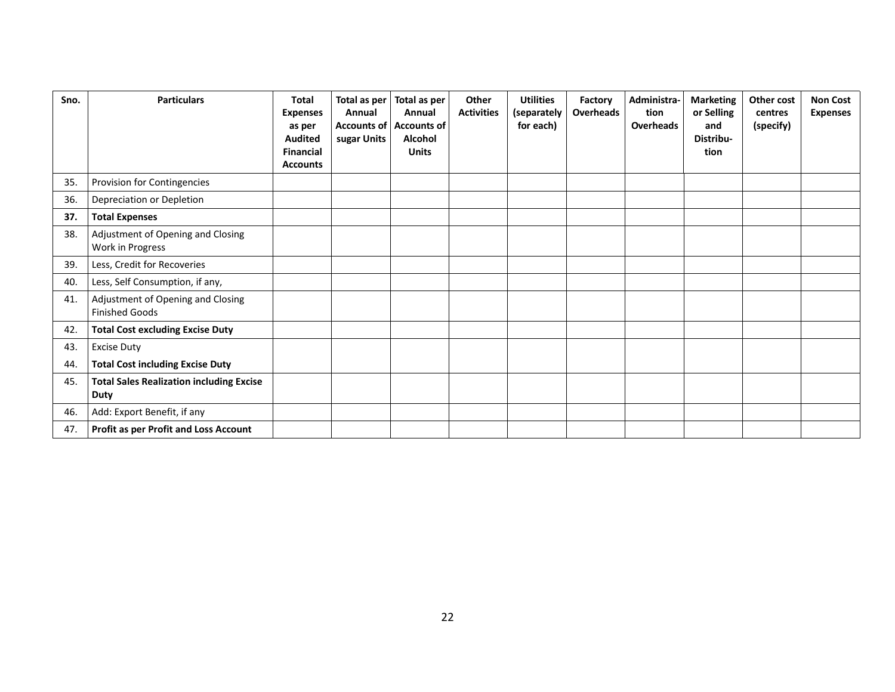| Sno. | <b>Particulars</b>                                             | Total<br><b>Expenses</b><br>as per<br><b>Audited</b><br><b>Financial</b><br><b>Accounts</b> | Total as per<br>Annual<br><b>Accounts of</b><br>sugar Units | Total as per<br>Annual<br><b>Accounts of</b><br>Alcohol<br><b>Units</b> | Other<br><b>Activities</b> | <b>Utilities</b><br>(separately<br>for each) | Factory<br>Overheads | Administra-<br>tion<br>Overheads | <b>Marketing</b><br>or Selling<br>and<br>Distribu-<br>tion | Other cost<br>centres<br>(specify) | <b>Non Cost</b><br><b>Expenses</b> |
|------|----------------------------------------------------------------|---------------------------------------------------------------------------------------------|-------------------------------------------------------------|-------------------------------------------------------------------------|----------------------------|----------------------------------------------|----------------------|----------------------------------|------------------------------------------------------------|------------------------------------|------------------------------------|
| 35.  | Provision for Contingencies                                    |                                                                                             |                                                             |                                                                         |                            |                                              |                      |                                  |                                                            |                                    |                                    |
| 36.  | Depreciation or Depletion                                      |                                                                                             |                                                             |                                                                         |                            |                                              |                      |                                  |                                                            |                                    |                                    |
| 37.  | <b>Total Expenses</b>                                          |                                                                                             |                                                             |                                                                         |                            |                                              |                      |                                  |                                                            |                                    |                                    |
| 38.  | Adjustment of Opening and Closing<br>Work in Progress          |                                                                                             |                                                             |                                                                         |                            |                                              |                      |                                  |                                                            |                                    |                                    |
| 39.  | Less, Credit for Recoveries                                    |                                                                                             |                                                             |                                                                         |                            |                                              |                      |                                  |                                                            |                                    |                                    |
| 40.  | Less, Self Consumption, if any,                                |                                                                                             |                                                             |                                                                         |                            |                                              |                      |                                  |                                                            |                                    |                                    |
| 41.  | Adjustment of Opening and Closing<br><b>Finished Goods</b>     |                                                                                             |                                                             |                                                                         |                            |                                              |                      |                                  |                                                            |                                    |                                    |
| 42.  | <b>Total Cost excluding Excise Duty</b>                        |                                                                                             |                                                             |                                                                         |                            |                                              |                      |                                  |                                                            |                                    |                                    |
| 43.  | <b>Excise Duty</b>                                             |                                                                                             |                                                             |                                                                         |                            |                                              |                      |                                  |                                                            |                                    |                                    |
| 44.  | <b>Total Cost including Excise Duty</b>                        |                                                                                             |                                                             |                                                                         |                            |                                              |                      |                                  |                                                            |                                    |                                    |
| 45.  | <b>Total Sales Realization including Excise</b><br><b>Duty</b> |                                                                                             |                                                             |                                                                         |                            |                                              |                      |                                  |                                                            |                                    |                                    |
| 46.  | Add: Export Benefit, if any                                    |                                                                                             |                                                             |                                                                         |                            |                                              |                      |                                  |                                                            |                                    |                                    |
| 47.  | <b>Profit as per Profit and Loss Account</b>                   |                                                                                             |                                                             |                                                                         |                            |                                              |                      |                                  |                                                            |                                    |                                    |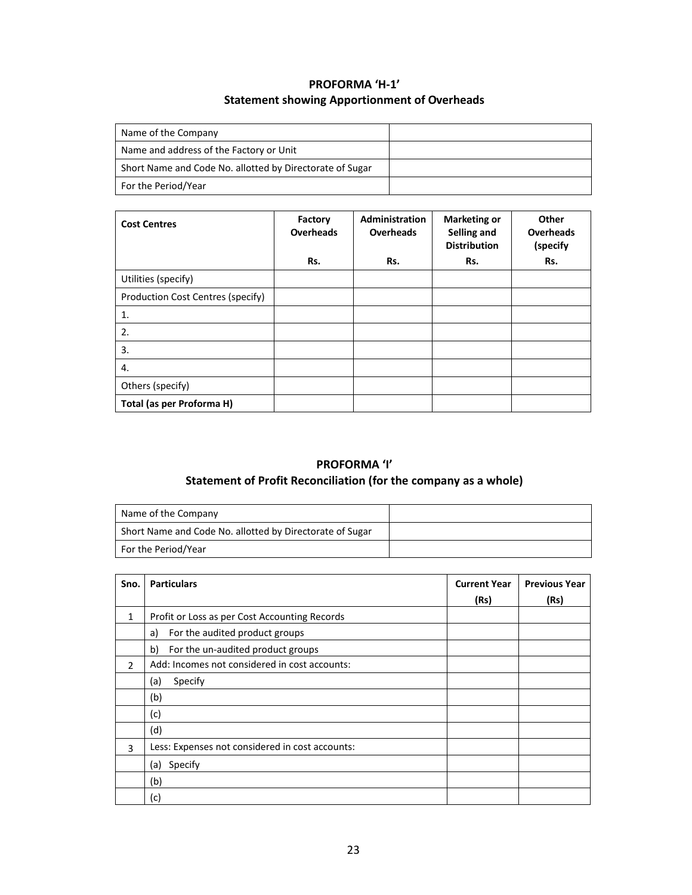# **PROFORMA 'H‐1' Statement showing Apportionment of Overheads**

| Name of the Company                                      |  |
|----------------------------------------------------------|--|
| Name and address of the Factory or Unit                  |  |
| Short Name and Code No. allotted by Directorate of Sugar |  |
| For the Period/Year                                      |  |

| <b>Cost Centres</b>               | Factory<br><b>Overheads</b> | <b>Administration</b><br><b>Overheads</b> | <b>Marketing or</b><br>Selling and<br><b>Distribution</b> | Other<br><b>Overheads</b><br>(specify |
|-----------------------------------|-----------------------------|-------------------------------------------|-----------------------------------------------------------|---------------------------------------|
|                                   | Rs.                         | Rs.                                       | Rs.                                                       | Rs.                                   |
| Utilities (specify)               |                             |                                           |                                                           |                                       |
| Production Cost Centres (specify) |                             |                                           |                                                           |                                       |
| 1.                                |                             |                                           |                                                           |                                       |
| 2.                                |                             |                                           |                                                           |                                       |
| 3.                                |                             |                                           |                                                           |                                       |
| 4.                                |                             |                                           |                                                           |                                       |
| Others (specify)                  |                             |                                           |                                                           |                                       |
| Total (as per Proforma H)         |                             |                                           |                                                           |                                       |

# **PROFORMA 'I'**

# **Statement of Profit Reconciliation (for the company as a whole)**

| Name of the Company                                      |  |
|----------------------------------------------------------|--|
| Short Name and Code No. allotted by Directorate of Sugar |  |
| For the Period/Year                                      |  |

| Sno.           | <b>Particulars</b>                              | <b>Current Year</b> | <b>Previous Year</b> |
|----------------|-------------------------------------------------|---------------------|----------------------|
|                |                                                 | (Rs)                | (Rs)                 |
| $\mathbf{1}$   | Profit or Loss as per Cost Accounting Records   |                     |                      |
|                | For the audited product groups<br>a)            |                     |                      |
|                | b)<br>For the un-audited product groups         |                     |                      |
| $\overline{2}$ | Add: Incomes not considered in cost accounts:   |                     |                      |
|                | Specify<br>(a)                                  |                     |                      |
|                | (b)                                             |                     |                      |
|                | (c)                                             |                     |                      |
|                | (d)                                             |                     |                      |
| 3              | Less: Expenses not considered in cost accounts: |                     |                      |
|                | Specify<br>(a)                                  |                     |                      |
|                | (b)                                             |                     |                      |
|                | (c)                                             |                     |                      |